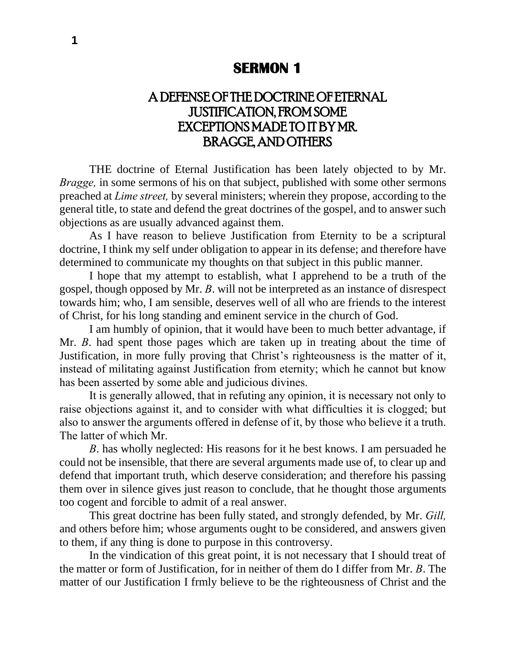## **SERMON 1**

# A DEFENSE OF THE DOCTRINE OF ETERNAL JUSTIFICATION, FROM SOME EXCEPTIONS MADE TO IT BY MR. BRAGGE, AND OTHERS

THE doctrine of Eternal Justification has been lately objected to by Mr. *Bragge*, in some sermons of his on that subject, published with some other sermons preached at *Lime street,* by several ministers; wherein they propose, according to the general title, to state and defend the great doctrines of the gospel, and to answer such objections as are usually advanced against them.

As I have reason to believe Justification from Eternity to be a scriptural doctrine, I think my self under obligation to appear in its defense; and therefore have determined to communicate my thoughts on that subject in this public manner.

I hope that my attempt to establish, what I apprehend to be a truth of the gospel, though opposed by Mr. *B*. will not be interpreted as an instance of disrespect towards him; who, I am sensible, deserves well of all who are friends to the interest of Christ, for his long standing and eminent service in the church of God.

I am humbly of opinion, that it would have been to much better advantage, if Mr. *B*. had spent those pages which are taken up in treating about the time of Justification, in more fully proving that Christ's righteousness is the matter of it, instead of militating against Justification from eternity; which he cannot but know has been asserted by some able and judicious divines.

It is generally allowed, that in refuting any opinion, it is necessary not only to raise objections against it, and to consider with what difficulties it is clogged; but also to answer the arguments offered in defense of it, by those who believe it a truth. The latter of which Mr.

*B*. has wholly neglected: His reasons for it he best knows. I am persuaded he could not be insensible, that there are several arguments made use of, to clear up and defend that important truth, which deserve consideration; and therefore his passing them over in silence gives just reason to conclude, that he thought those arguments too cogent and forcible to admit of a real answer.

This great doctrine has been fully stated, and strongly defended, by Mr. *Gill,*  and others before him; whose arguments ought to be considered, and answers given to them, if any thing is done to purpose in this controversy.

In the vindication of this great point, it is not necessary that I should treat of the matter or form of Justification, for in neither of them do I differ from Mr. *B*. The matter of our Justification I frmly believe to be the righteousness of Christ and the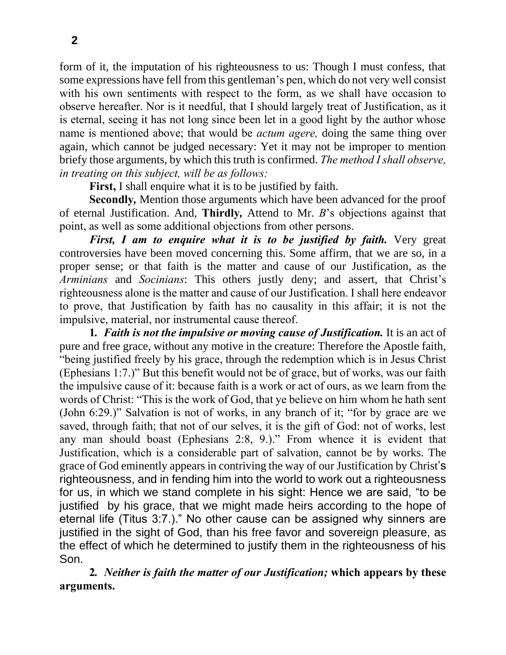form of it, the imputation of his righteousness to us: Though I must confess, that some expressions have fell from this gentleman's pen, which do not very well consist with his own sentiments with respect to the form, as we shall have occasion to observe hereafter. Nor is it needful, that I should largely treat of Justification, as it is eternal, seeing it has not long since been let in a good light by the author whose name is mentioned above; that would be *actum agere,* doing the same thing over again, which cannot be judged necessary: Yet it may not be improper to mention briefy those arguments, by which this truth is confirmed. *The method I shall observe, in treating on this subject, will be as follows:*

**First,** I shall enquire what it is to be justified by faith.

**Secondly***,* Mention those arguments which have been advanced for the proof of eternal Justification. And, **Thirdly***,* Attend to Mr. *B*'s objections against that point, as well as some additional objections from other persons.

*First, I am to enquire what it is to be justified by faith.* Very great controversies have been moved concerning this. Some affirm, that we are so, in a proper sense; or that faith is the matter and cause of our Justification, as the *Arminians* and *Socinians*: This others justly deny; and assert, that Christ's righteousness alone is the matter and cause of our Justification. I shall here endeavor to prove, that Justification by faith has no causality in this affair; it is not the impulsive, material, nor instrumental cause thereof.

**1***. Faith is not the impulsive or moving cause of Justification.* It is an act of pure and free grace, without any motive in the creature: Therefore the Apostle faith, "being justified freely by his grace, through the redemption which is in Jesus Christ (Ephesians 1:7.)" But this benefit would not be of grace, but of works, was our faith the impulsive cause of it: because faith is a work or act of ours, as we learn from the words of Christ: "This is the work of God, that ye believe on him whom he hath sent (John 6:29.)" Salvation is not of works, in any branch of it; "for by grace are we saved, through faith; that not of our selves, it is the gift of God: not of works, lest any man should boast (Ephesians 2:8, 9.)." From whence it is evident that Justification, which is a considerable part of salvation, cannot be by works. The grace of God eminently appears in contriving the way of our Justification by Christ's righteousness, and in fending him into the world to work out a righteousness for us, in which we stand complete in his sight: Hence we are said, "to be justified by his grace, that we might made heirs according to the hope of eternal life (Titus 3:7.)." No other cause can be assigned why sinners are justified in the sight of God, than his free favor and sovereign pleasure, as the effect of which he determined to justify them in the righteousness of his Son.

**2***. Neither is faith the matter of our Justification;* **which appears by these arguments.**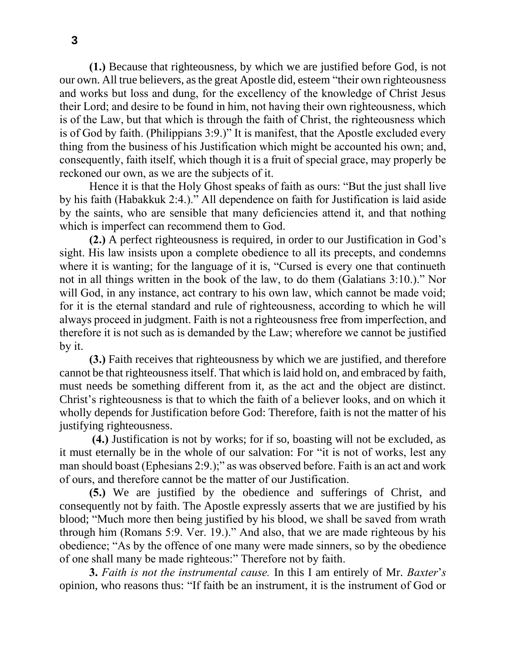**(1.)** Because that righteousness, by which we are justified before God, is not our own. All true believers, as the great Apostle did, esteem "their own righteousness and works but loss and dung, for the excellency of the knowledge of Christ Jesus their Lord; and desire to be found in him, not having their own righteousness, which is of the Law, but that which is through the faith of Christ, the righteousness which is of God by faith. (Philippians 3:9.)" It is manifest, that the Apostle excluded every thing from the business of his Justification which might be accounted his own; and, consequently, faith itself, which though it is a fruit of special grace, may properly be reckoned our own, as we are the subjects of it.

Hence it is that the Holy Ghost speaks of faith as ours: "But the just shall live by his faith (Habakkuk 2:4.)." All dependence on faith for Justification is laid aside by the saints, who are sensible that many deficiencies attend it, and that nothing which is imperfect can recommend them to God.

**(2.)** A perfect righteousness is required, in order to our Justification in God's sight. His law insists upon a complete obedience to all its precepts, and condemns where it is wanting; for the language of it is, "Cursed is every one that continueth not in all things written in the book of the law, to do them (Galatians 3:10.)." Nor will God, in any instance, act contrary to his own law, which cannot be made void; for it is the eternal standard and rule of righteousness, according to which he will always proceed in judgment. Faith is not a righteousness free from imperfection, and therefore it is not such as is demanded by the Law; wherefore we cannot be justified by it.

**(3.)** Faith receives that righteousness by which we are justified, and therefore cannot be that righteousness itself. That which is laid hold on, and embraced by faith, must needs be something different from it, as the act and the object are distinct. Christ's righteousness is that to which the faith of a believer looks, and on which it wholly depends for Justification before God: Therefore, faith is not the matter of his justifying righteousness.

**(4.)** Justification is not by works; for if so, boasting will not be excluded, as it must eternally be in the whole of our salvation: For "it is not of works, lest any man should boast (Ephesians 2:9.);" as was observed before. Faith is an act and work of ours, and therefore cannot be the matter of our Justification.

**(5.)** We are justified by the obedience and sufferings of Christ, and consequently not by faith. The Apostle expressly asserts that we are justified by his blood; "Much more then being justified by his blood, we shall be saved from wrath through him (Romans 5:9. Ver. 19.)." And also, that we are made righteous by his obedience; "As by the offence of one many were made sinners, so by the obedience of one shall many be made righteous:" Therefore not by faith.

**3.** *Faith is not the instrumental cause.* In this I am entirely of Mr. *Baxter*'*s*  opinion, who reasons thus: "If faith be an instrument, it is the instrument of God or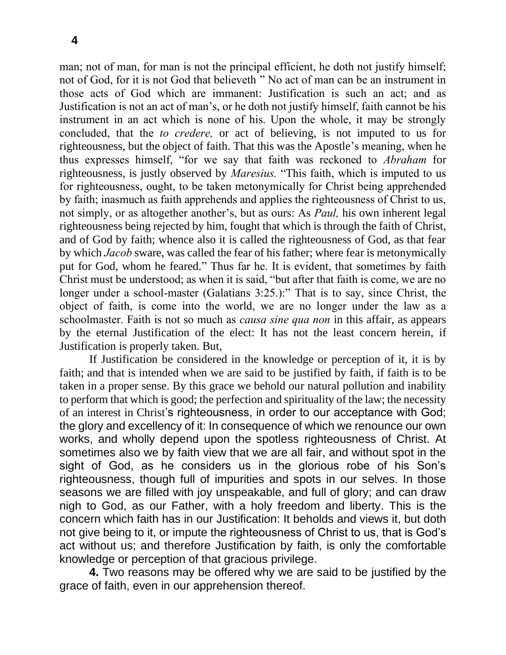man; not of man, for man is not the principal efficient, he doth not justify himself; not of God, for it is not God that believeth " No act of man can be an instrument in those acts of God which are immanent: Justification is such an act; and as Justification is not an act of man's, or he doth not justify himself, faith cannot be his instrument in an act which is none of his. Upon the whole, it may be strongly concluded, that the *to credere,* or act of believing, is not imputed to us for righteousness, but the object of faith. That this was the Apostle's meaning, when he thus expresses himself, "for we say that faith was reckoned to *Abraham* for righteousness, is justly observed by *Maresius.* "This faith, which is imputed to us for righteousness, ought, to be taken metonymically for Christ being apprehended by faith; inasmuch as faith apprehends and applies the righteousness of Christ to us, not simply, or as altogether another's, but as ours: As *Paul,* his own inherent legal righteousness being rejected by him, fought that which is through the faith of Christ, and of God by faith; whence also it is called the righteousness of God, as that fear by which *Jacob* sware, was called the fear of his father; where fear is metonymically put for God, whom he feared." Thus far he. It is evident, that sometimes by faith Christ must be understood; as when it is said, "but after that faith is come, we are no longer under a school-master (Galatians 3:25.):" That is to say, since Christ, the object of faith, is come into the world, we are no longer under the law as a schoolmaster. Faith is not so much as *causa sine qua non* in this affair, as appears by the eternal Justification of the elect: It has not the least concern herein, if Justification is properly taken. But,

If Justification be considered in the knowledge or perception of it, it is by faith; and that is intended when we are said to be justified by faith, if faith is to be taken in a proper sense. By this grace we behold our natural pollution and inability to perform that which is good; the perfection and spirituality of the law; the necessity of an interest in Christ's righteousness, in order to our acceptance with God; the glory and excellency of it: In consequence of which we renounce our own works, and wholly depend upon the spotless righteousness of Christ. At sometimes also we by faith view that we are all fair, and without spot in the sight of God, as he considers us in the glorious robe of his Son's righteousness, though full of impurities and spots in our selves. In those seasons we are filled with joy unspeakable, and full of glory; and can draw nigh to God, as our Father, with a holy freedom and liberty. This is the concern which faith has in our Justification: It beholds and views it, but doth not give being to it, or impute the righteousness of Christ to us, that is God's act without us; and therefore Justification by faith, is only the comfortable knowledge or perception of that gracious privilege.

**4.** Two reasons may be offered why we are said to be justified by the grace of faith, even in our apprehension thereof.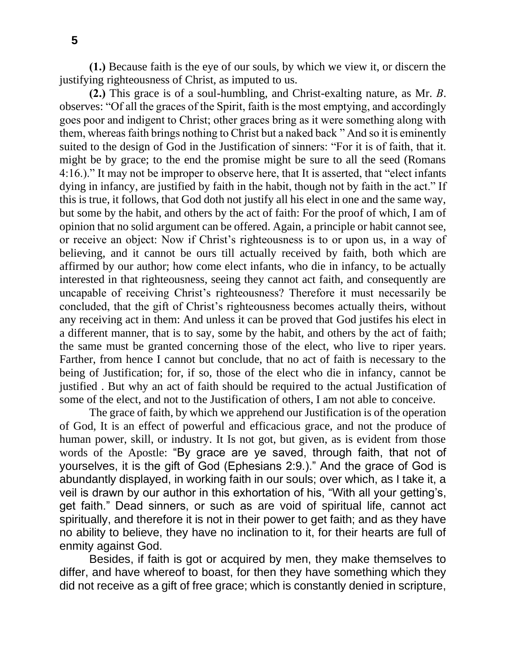**(1.)** Because faith is the eye of our souls, by which we view it, or discern the justifying righteousness of Christ, as imputed to us.

**(2.)** This grace is of a soul-humbling, and Christ-exalting nature, as Mr. *B*. observes: "Of all the graces of the Spirit, faith is the most emptying, and accordingly goes poor and indigent to Christ; other graces bring as it were something along with them, whereas faith brings nothing to Christ but a naked back " And so it is eminently suited to the design of God in the Justification of sinners: "For it is of faith, that it. might be by grace; to the end the promise might be sure to all the seed (Romans 4:16.)." It may not be improper to observe here, that It is asserted, that "elect infants dying in infancy, are justified by faith in the habit, though not by faith in the act." If this is true, it follows, that God doth not justify all his elect in one and the same way, but some by the habit, and others by the act of faith: For the proof of which, I am of opinion that no solid argument can be offered. Again, a principle or habit cannot see, or receive an object: Now if Christ's righteousness is to or upon us, in a way of believing, and it cannot be ours till actually received by faith, both which are affirmed by our author; how come elect infants, who die in infancy, to be actually interested in that righteousness, seeing they cannot act faith, and consequently are uncapable of receiving Christ's righteousness? Therefore it must necessarily be concluded, that the gift of Christ's righteousness becomes actually theirs, without any receiving act in them: And unless it can be proved that God justifes his elect in a different manner, that is to say, some by the habit, and others by the act of faith; the same must be granted concerning those of the elect, who live to riper years. Farther, from hence I cannot but conclude, that no act of faith is necessary to the being of Justification; for, if so, those of the elect who die in infancy, cannot be justified . But why an act of faith should be required to the actual Justification of some of the elect, and not to the Justification of others, I am not able to conceive.

The grace of faith, by which we apprehend our Justification is of the operation of God, It is an effect of powerful and efficacious grace, and not the produce of human power, skill, or industry. It Is not got, but given, as is evident from those words of the Apostle: "By grace are ye saved, through faith, that not of yourselves, it is the gift of God (Ephesians 2:9.)." And the grace of God is abundantly displayed, in working faith in our souls; over which, as I take it, a veil is drawn by our author in this exhortation of his, "With all your getting's, get faith." Dead sinners, or such as are void of spiritual life, cannot act spiritually, and therefore it is not in their power to get faith; and as they have no ability to believe, they have no inclination to it, for their hearts are full of enmity against God.

Besides, if faith is got or acquired by men, they make themselves to differ, and have whereof to boast, for then they have something which they did not receive as a gift of free grace; which is constantly denied in scripture,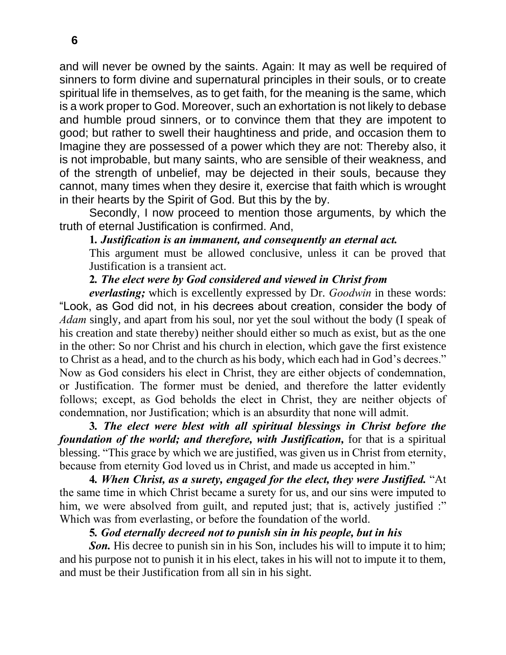and will never be owned by the saints. Again: It may as well be required of sinners to form divine and supernatural principles in their souls, or to create spiritual life in themselves, as to get faith, for the meaning is the same, which is a work proper to God. Moreover, such an exhortation is not likely to debase and humble proud sinners, or to convince them that they are impotent to good; but rather to swell their haughtiness and pride, and occasion them to Imagine they are possessed of a power which they are not: Thereby also, it is not improbable, but many saints, who are sensible of their weakness, and of the strength of unbelief, may be dejected in their souls, because they cannot, many times when they desire it, exercise that faith which is wrought in their hearts by the Spirit of God. But this by the by.

Secondly, I now proceed to mention those arguments, by which the truth of eternal Justification is confirmed. And,

#### **1***. Justification is an immanent, and consequently an eternal act.*

This argument must be allowed conclusive, unless it can be proved that Justification is a transient act.

## **2***. The elect were by God considered and viewed in Christ from*

*everlasting;* which is excellently expressed by Dr. *Goodwin* in these words: "Look, as God did not, in his decrees about creation, consider the body of *Adam* singly, and apart from his soul, nor yet the soul without the body (I speak of his creation and state thereby) neither should either so much as exist, but as the one in the other: So nor Christ and his church in election, which gave the first existence to Christ as a head, and to the church as his body, which each had in God's decrees." Now as God considers his elect in Christ, they are either objects of condemnation, or Justification. The former must be denied, and therefore the latter evidently follows; except, as God beholds the elect in Christ, they are neither objects of condemnation, nor Justification; which is an absurdity that none will admit.

**3***. The elect were blest with all spiritual blessings in Christ before the foundation of the world; and therefore, with Justification,* for that is a spiritual blessing. "This grace by which we are justified, was given us in Christ from eternity, because from eternity God loved us in Christ, and made us accepted in him."

**4***. When Christ, as a surety, engaged for the elect, they were Justified.* "At the same time in which Christ became a surety for us, and our sins were imputed to him, we were absolved from guilt, and reputed just; that is, actively justified :" Which was from everlasting, or before the foundation of the world.

## **5***. God eternally decreed not to punish sin in his people, but in his*

*Son.* His decree to punish sin in his Son, includes his will to impute it to him; and his purpose not to punish it in his elect, takes in his will not to impute it to them, and must be their Justification from all sin in his sight.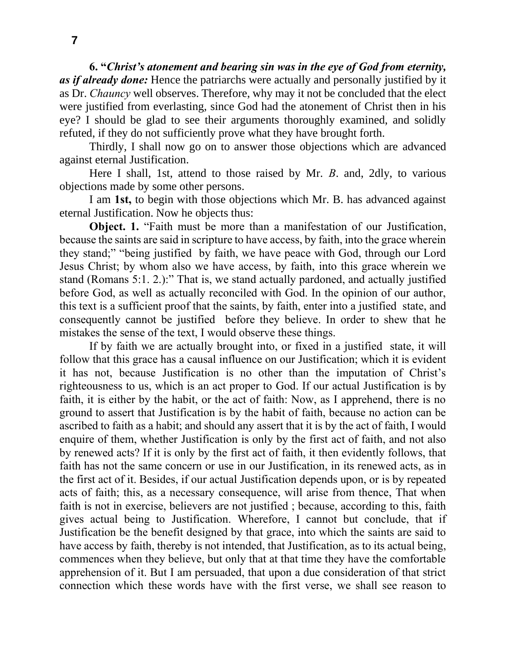**6. "***Christ's atonement and bearing sin was in the eye of God from eternity, as if already done:* Hence the patriarchs were actually and personally justified by it as Dr. *Chauncy* well observes. Therefore, why may it not be concluded that the elect were justified from everlasting, since God had the atonement of Christ then in his eye? I should be glad to see their arguments thoroughly examined, and solidly refuted, if they do not sufficiently prove what they have brought forth.

Thirdly, I shall now go on to answer those objections which are advanced against eternal Justification.

Here I shall, 1st, attend to those raised by Mr. *B*. and, 2dly, to various objections made by some other persons.

I am **1st,** to begin with those objections which Mr. B. has advanced against eternal Justification. Now he objects thus:

**Object. 1.** "Faith must be more than a manifestation of our Justification, because the saints are said in scripture to have access, by faith, into the grace wherein they stand;" "being justified by faith, we have peace with God, through our Lord Jesus Christ; by whom also we have access, by faith, into this grace wherein we stand (Romans 5:1. 2.):" That is, we stand actually pardoned, and actually justified before God, as well as actually reconciled with God. In the opinion of our author, this text is a sufficient proof that the saints, by faith, enter into a justified state, and consequently cannot be justified before they believe. In order to shew that he mistakes the sense of the text, I would observe these things.

If by faith we are actually brought into, or fixed in a justified state, it will follow that this grace has a causal influence on our Justification; which it is evident it has not, because Justification is no other than the imputation of Christ's righteousness to us, which is an act proper to God. If our actual Justification is by faith, it is either by the habit, or the act of faith: Now, as I apprehend, there is no ground to assert that Justification is by the habit of faith, because no action can be ascribed to faith as a habit; and should any assert that it is by the act of faith, I would enquire of them, whether Justification is only by the first act of faith, and not also by renewed acts? If it is only by the first act of faith, it then evidently follows, that faith has not the same concern or use in our Justification, in its renewed acts, as in the first act of it. Besides, if our actual Justification depends upon, or is by repeated acts of faith; this, as a necessary consequence, will arise from thence, That when faith is not in exercise, believers are not justified ; because, according to this, faith gives actual being to Justification. Wherefore, I cannot but conclude, that if Justification be the benefit designed by that grace, into which the saints are said to have access by faith, thereby is not intended, that Justification, as to its actual being, commences when they believe, but only that at that time they have the comfortable apprehension of it. But I am persuaded, that upon a due consideration of that strict connection which these words have with the first verse, we shall see reason to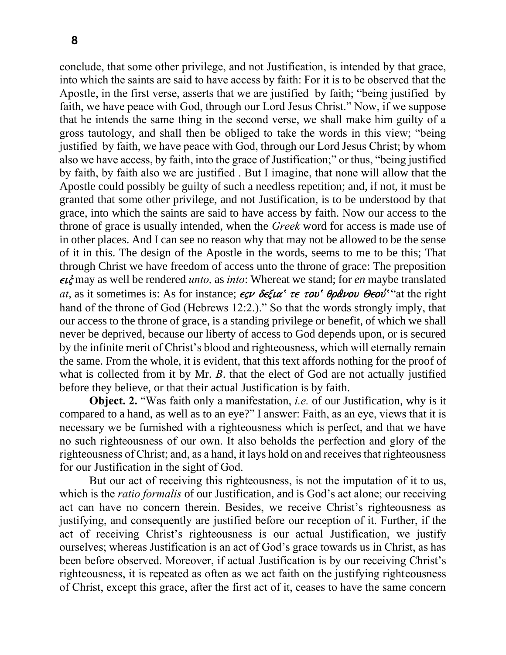conclude, that some other privilege, and not Justification, is intended by that grace, into which the saints are said to have access by faith: For it is to be observed that the Apostle, in the first verse, asserts that we are justified by faith; "being justified by faith, we have peace with God, through our Lord Jesus Christ." Now, if we suppose that he intends the same thing in the second verse, we shall make him guilty of a gross tautology, and shall then be obliged to take the words in this view; "being justified by faith, we have peace with God, through our Lord Jesus Christ; by whom also we have access, by faith, into the grace of Justification;" or thus, "being justified by faith, by faith also we are justified . But I imagine, that none will allow that the Apostle could possibly be guilty of such a needless repetition; and, if not, it must be granted that some other privilege, and not Justification, is to be understood by that grace, into which the saints are said to have access by faith. Now our access to the throne of grace is usually intended, when the *Greek* word for access is made use of in other places. And I can see no reason why that may not be allowed to be the sense of it in this. The design of the Apostle in the words, seems to me to be this; That through Christ we have freedom of access unto the throne of grace: The preposition  $\epsilon \vec{L}$  may as well be rendered *unto*, as *into*: Whereat we stand; for *en* maybe translated *at*, as it sometimes is: As for instance;  $\epsilon \zeta \nu$  δεξια<sup>*c*</sup> τε του<sup>*c*</sup> θράνου Θεού<sup>*c*</sup> at the right hand of the throne of God (Hebrews 12:2.)." So that the words strongly imply, that our access to the throne of grace, is a standing privilege or benefit, of which we shall never be deprived, because our liberty of access to God depends upon, or is secured by the infinite merit of Christ's blood and righteousness, which will eternally remain the same. From the whole, it is evident, that this text affords nothing for the proof of what is collected from it by Mr. *B*. that the elect of God are not actually justified before they believe, or that their actual Justification is by faith.

**Object. 2.** "Was faith only a manifestation, *i.e.* of our Justification, why is it compared to a hand, as well as to an eye?" I answer: Faith, as an eye, views that it is necessary we be furnished with a righteousness which is perfect, and that we have no such righteousness of our own. It also beholds the perfection and glory of the righteousness of Christ; and, as a hand, it lays hold on and receives that righteousness for our Justification in the sight of God.

But our act of receiving this righteousness, is not the imputation of it to us, which is the *ratio formalis* of our Justification, and is God's act alone; our receiving act can have no concern therein. Besides, we receive Christ's righteousness as justifying, and consequently are justified before our reception of it. Further, if the act of receiving Christ's righteousness is our actual Justification, we justify ourselves; whereas Justification is an act of God's grace towards us in Christ, as has been before observed. Moreover, if actual Justification is by our receiving Christ's righteousness, it is repeated as often as we act faith on the justifying righteousness of Christ, except this grace, after the first act of it, ceases to have the same concern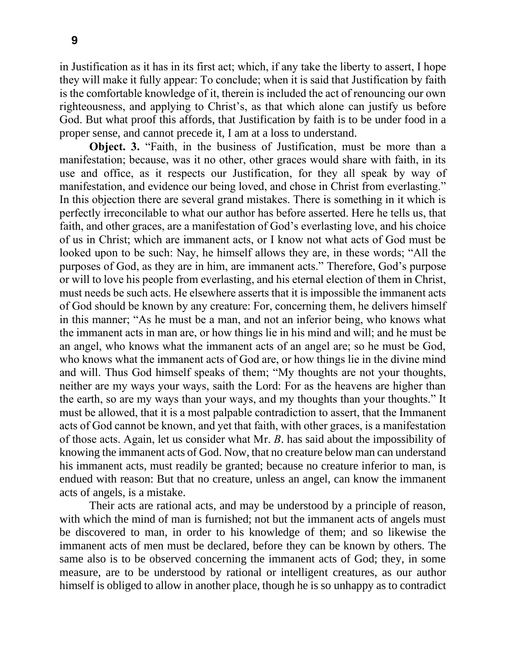in Justification as it has in its first act; which, if any take the liberty to assert, I hope they will make it fully appear: To conclude; when it is said that Justification by faith is the comfortable knowledge of it, therein is included the act of renouncing our own righteousness, and applying to Christ's, as that which alone can justify us before God. But what proof this affords, that Justification by faith is to be under food in a proper sense, and cannot precede it, I am at a loss to understand.

**Object. 3.** "Faith, in the business of Justification, must be more than a manifestation; because, was it no other, other graces would share with faith, in its use and office, as it respects our Justification, for they all speak by way of manifestation, and evidence our being loved, and chose in Christ from everlasting." In this objection there are several grand mistakes. There is something in it which is perfectly irreconcilable to what our author has before asserted. Here he tells us, that faith, and other graces, are a manifestation of God's everlasting love, and his choice of us in Christ; which are immanent acts, or I know not what acts of God must be looked upon to be such: Nay, he himself allows they are, in these words; "All the purposes of God, as they are in him, are immanent acts." Therefore, God's purpose or will to love his people from everlasting, and his eternal election of them in Christ, must needs be such acts. He elsewhere asserts that it is impossible the immanent acts of God should be known by any creature: For, concerning them, he delivers himself in this manner; "As he must be a man, and not an inferior being, who knows what the immanent acts in man are, or how things lie in his mind and will; and he must be an angel, who knows what the immanent acts of an angel are; so he must be God, who knows what the immanent acts of God are, or how things lie in the divine mind and will. Thus God himself speaks of them; "My thoughts are not your thoughts, neither are my ways your ways, saith the Lord: For as the heavens are higher than the earth, so are my ways than your ways, and my thoughts than your thoughts." It must be allowed, that it is a most palpable contradiction to assert, that the Immanent acts of God cannot be known, and yet that faith, with other graces, is a manifestation of those acts. Again, let us consider what Mr. *B*. has said about the impossibility of knowing the immanent acts of God. Now, that no creature below man can understand his immanent acts, must readily be granted; because no creature inferior to man, is endued with reason: But that no creature, unless an angel, can know the immanent acts of angels, is a mistake.

Their acts are rational acts, and may be understood by a principle of reason, with which the mind of man is furnished; not but the immanent acts of angels must be discovered to man, in order to his knowledge of them; and so likewise the immanent acts of men must be declared, before they can be known by others. The same also is to be observed concerning the immanent acts of God; they, in some measure, are to be understood by rational or intelligent creatures, as our author himself is obliged to allow in another place, though he is so unhappy as to contradict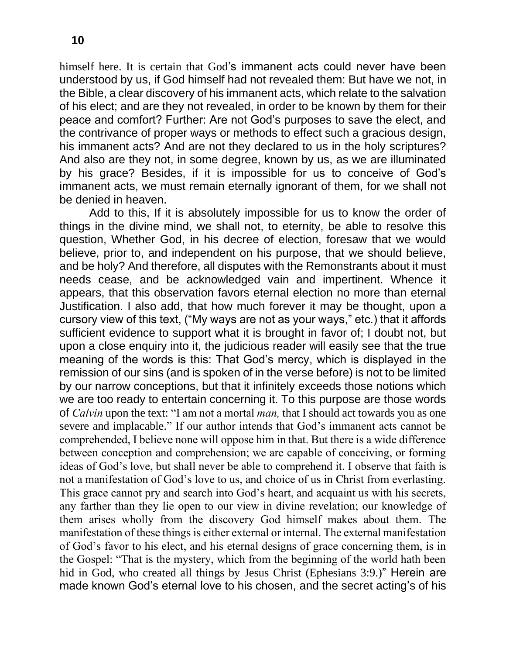himself here. It is certain that God's immanent acts could never have been understood by us, if God himself had not revealed them: But have we not, in the Bible, a clear discovery of his immanent acts, which relate to the salvation of his elect; and are they not revealed, in order to be known by them for their peace and comfort? Further: Are not God's purposes to save the elect, and the contrivance of proper ways or methods to effect such a gracious design, his immanent acts? And are not they declared to us in the holy scriptures? And also are they not, in some degree, known by us, as we are illuminated by his grace? Besides, if it is impossible for us to conceive of God's immanent acts, we must remain eternally ignorant of them, for we shall not be denied in heaven.

Add to this, If it is absolutely impossible for us to know the order of things in the divine mind, we shall not, to eternity, be able to resolve this question, Whether God, in his decree of election, foresaw that we would believe, prior to, and independent on his purpose, that we should believe, and be holy? And therefore, all disputes with the Remonstrants about it must needs cease, and be acknowledged vain and impertinent. Whence it appears, that this observation favors eternal election no more than eternal Justification. I also add, that how much forever it may be thought, upon a cursory view of this text, ("My ways are not as your ways," etc.) that it affords sufficient evidence to support what it is brought in favor of; I doubt not, but upon a close enquiry into it, the judicious reader will easily see that the true meaning of the words is this: That God's mercy, which is displayed in the remission of our sins (and is spoken of in the verse before) is not to be limited by our narrow conceptions, but that it infinitely exceeds those notions which we are too ready to entertain concerning it. To this purpose are those words of *Calvin* upon the text: "I am not a mortal *man,* that I should act towards you as one severe and implacable." If our author intends that God's immanent acts cannot be comprehended, I believe none will oppose him in that. But there is a wide difference between conception and comprehension; we are capable of conceiving, or forming ideas of God's love, but shall never be able to comprehend it. I observe that faith is not a manifestation of God's love to us, and choice of us in Christ from everlasting. This grace cannot pry and search into God's heart, and acquaint us with his secrets, any farther than they lie open to our view in divine revelation; our knowledge of them arises wholly from the discovery God himself makes about them. The manifestation of these things is either external or internal. The external manifestation of God's favor to his elect, and his eternal designs of grace concerning them, is in the Gospel: "That is the mystery, which from the beginning of the world hath been hid in God, who created all things by Jesus Christ (Ephesians 3:9.)" Herein are made known God's eternal love to his chosen, and the secret acting's of his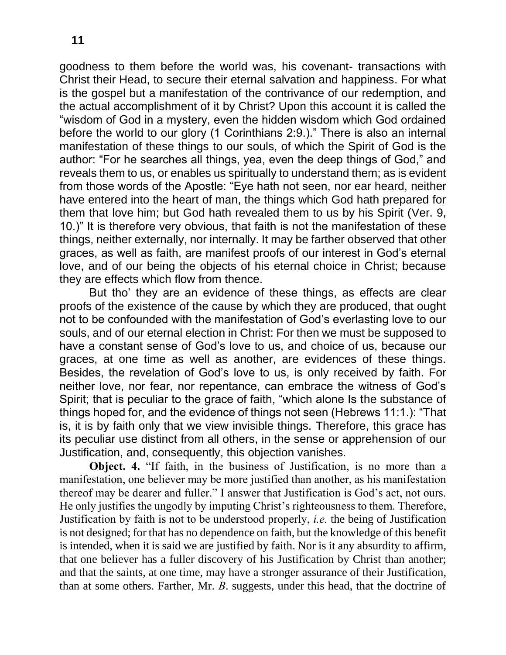goodness to them before the world was, his covenant- transactions with Christ their Head, to secure their eternal salvation and happiness. For what is the gospel but a manifestation of the contrivance of our redemption, and the actual accomplishment of it by Christ? Upon this account it is called the "wisdom of God in a mystery, even the hidden wisdom which God ordained before the world to our glory (1 Corinthians 2:9.)." There is also an internal manifestation of these things to our souls, of which the Spirit of God is the author: "For he searches all things, yea, even the deep things of God," and reveals them to us, or enables us spiritually to understand them; as is evident from those words of the Apostle: "Eye hath not seen, nor ear heard, neither have entered into the heart of man, the things which God hath prepared for them that love him; but God hath revealed them to us by his Spirit (Ver. 9, 10.)" It is therefore very obvious, that faith is not the manifestation of these things, neither externally, nor internally. It may be farther observed that other graces, as well as faith, are manifest proofs of our interest in God's eternal love, and of our being the objects of his eternal choice in Christ; because they are effects which flow from thence.

But tho' they are an evidence of these things, as effects are clear proofs of the existence of the cause by which they are produced, that ought not to be confounded with the manifestation of God's everlasting love to our souls, and of our eternal election in Christ: For then we must be supposed to have a constant sense of God's love to us, and choice of us, because our graces, at one time as well as another, are evidences of these things. Besides, the revelation of God's love to us, is only received by faith. For neither love, nor fear, nor repentance, can embrace the witness of God's Spirit; that is peculiar to the grace of faith, "which alone Is the substance of things hoped for, and the evidence of things not seen (Hebrews 11:1.): "That is, it is by faith only that we view invisible things. Therefore, this grace has its peculiar use distinct from all others, in the sense or apprehension of our Justification, and, consequently, this objection vanishes.

**Object. 4.** "If faith, in the business of Justification, is no more than a manifestation, one believer may be more justified than another, as his manifestation thereof may be dearer and fuller." I answer that Justification is God's act, not ours. He only justifies the ungodly by imputing Christ's righteousness to them. Therefore, Justification by faith is not to be understood properly, *i.e.* the being of Justification is not designed; for that has no dependence on faith, but the knowledge of this benefit is intended, when it is said we are justified by faith. Nor is it any absurdity to affirm, that one believer has a fuller discovery of his Justification by Christ than another; and that the saints, at one time, may have a stronger assurance of their Justification, than at some others. Farther, Mr. *B*. suggests, under this head, that the doctrine of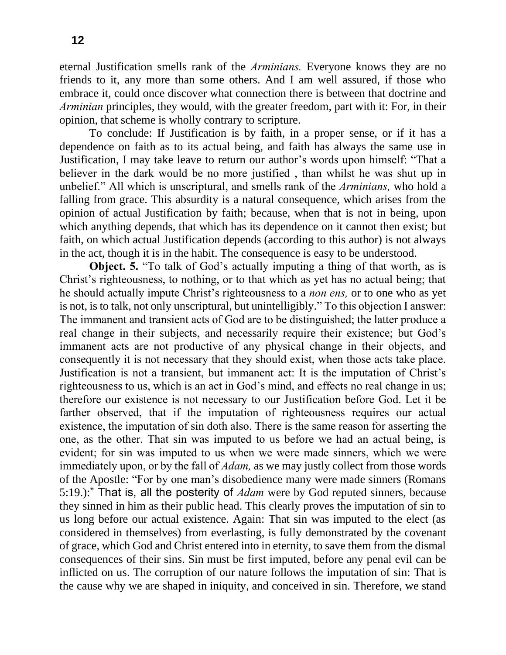eternal Justification smells rank of the *Arminians.* Everyone knows they are no friends to it, any more than some others. And I am well assured, if those who embrace it, could once discover what connection there is between that doctrine and *Arminian* principles, they would, with the greater freedom, part with it: For, in their opinion, that scheme is wholly contrary to scripture.

To conclude: If Justification is by faith, in a proper sense, or if it has a dependence on faith as to its actual being, and faith has always the same use in Justification, I may take leave to return our author's words upon himself: "That a believer in the dark would be no more justified , than whilst he was shut up in unbelief." All which is unscriptural, and smells rank of the *Arminians,* who hold a falling from grace. This absurdity is a natural consequence, which arises from the opinion of actual Justification by faith; because, when that is not in being, upon which anything depends, that which has its dependence on it cannot then exist; but faith, on which actual Justification depends (according to this author) is not always in the act, though it is in the habit. The consequence is easy to be understood.

**Object. 5.** "To talk of God's actually imputing a thing of that worth, as is Christ's righteousness, to nothing, or to that which as yet has no actual being; that he should actually impute Christ's righteousness to a *non ens,* or to one who as yet is not, is to talk, not only unscriptural, but unintelligibly." To this objection I answer: The immanent and transient acts of God are to be distinguished; the latter produce a real change in their subjects, and necessarily require their existence; but God's immanent acts are not productive of any physical change in their objects, and consequently it is not necessary that they should exist, when those acts take place. Justification is not a transient, but immanent act: It is the imputation of Christ's righteousness to us, which is an act in God's mind, and effects no real change in us; therefore our existence is not necessary to our Justification before God. Let it be farther observed, that if the imputation of righteousness requires our actual existence, the imputation of sin doth also. There is the same reason for asserting the one, as the other. That sin was imputed to us before we had an actual being, is evident; for sin was imputed to us when we were made sinners, which we were immediately upon, or by the fall of *Adam,* as we may justly collect from those words of the Apostle: "For by one man's disobedience many were made sinners (Romans 5:19.):" That is, all the posterity of *Adam* were by God reputed sinners, because they sinned in him as their public head. This clearly proves the imputation of sin to us long before our actual existence. Again: That sin was imputed to the elect (as considered in themselves) from everlasting, is fully demonstrated by the covenant of grace, which God and Christ entered into in eternity, to save them from the dismal consequences of their sins. Sin must be first imputed, before any penal evil can be inflicted on us. The corruption of our nature follows the imputation of sin: That is the cause why we are shaped in iniquity, and conceived in sin. Therefore, we stand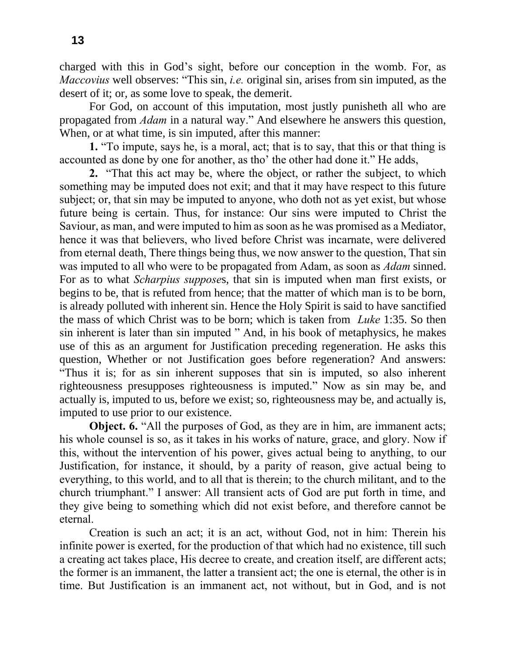charged with this in God's sight, before our conception in the womb. For, as *Maccovius* well observes: "This sin, *i.e.* original sin, arises from sin imputed, as the desert of it; or, as some love to speak, the demerit.

For God, on account of this imputation, most justly punisheth all who are propagated from *Adam* in a natural way." And elsewhere he answers this question, When, or at what time, is sin imputed, after this manner:

**1.** "To impute, says he, is a moral, act; that is to say, that this or that thing is accounted as done by one for another, as tho' the other had done it." He adds,

**2.** "That this act may be, where the object, or rather the subject, to which something may be imputed does not exit; and that it may have respect to this future subject; or, that sin may be imputed to anyone, who doth not as yet exist, but whose future being is certain. Thus, for instance: Our sins were imputed to Christ the Saviour, as man, and were imputed to him as soon as he was promised as a Mediator, hence it was that believers, who lived before Christ was incarnate, were delivered from eternal death, There things being thus, we now answer to the question, That sin was imputed to all who were to be propagated from Adam, as soon as *Adam* sinned. For as to what *Scharpius suppose*s, that sin is imputed when man first exists, or begins to be, that is refuted from hence; that the matter of which man is to be born, is already polluted with inherent sin. Hence the Holy Spirit is said to have sanctified the mass of which Christ was to be born; which is taken from *Luke* 1:35. So then sin inherent is later than sin imputed " And, in his book of metaphysics, he makes use of this as an argument for Justification preceding regeneration. He asks this question, Whether or not Justification goes before regeneration? And answers: "Thus it is; for as sin inherent supposes that sin is imputed, so also inherent righteousness presupposes righteousness is imputed." Now as sin may be, and actually is, imputed to us, before we exist; so, righteousness may be, and actually is, imputed to use prior to our existence.

**Object. 6.** "All the purposes of God, as they are in him, are immanent acts; his whole counsel is so, as it takes in his works of nature, grace, and glory. Now if this, without the intervention of his power, gives actual being to anything, to our Justification, for instance, it should, by a parity of reason, give actual being to everything, to this world, and to all that is therein; to the church militant, and to the church triumphant." I answer: All transient acts of God are put forth in time, and they give being to something which did not exist before, and therefore cannot be eternal.

Creation is such an act; it is an act, without God, not in him: Therein his infinite power is exerted, for the production of that which had no existence, till such a creating act takes place, His decree to create, and creation itself, are different acts; the former is an immanent, the latter a transient act; the one is eternal, the other is in time. But Justification is an immanent act, not without, but in God, and is not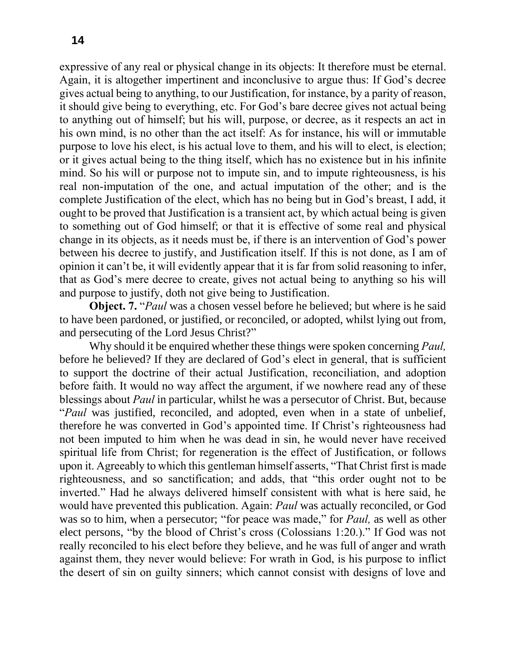expressive of any real or physical change in its objects: It therefore must be eternal. Again, it is altogether impertinent and inconclusive to argue thus: If God's decree gives actual being to anything, to our Justification, for instance, by a parity of reason, it should give being to everything, etc. For God's bare decree gives not actual being to anything out of himself; but his will, purpose, or decree, as it respects an act in his own mind, is no other than the act itself: As for instance, his will or immutable purpose to love his elect, is his actual love to them, and his will to elect, is election; or it gives actual being to the thing itself, which has no existence but in his infinite mind. So his will or purpose not to impute sin, and to impute righteousness, is his real non-imputation of the one, and actual imputation of the other; and is the complete Justification of the elect, which has no being but in God's breast, I add, it ought to be proved that Justification is a transient act, by which actual being is given to something out of God himself; or that it is effective of some real and physical change in its objects, as it needs must be, if there is an intervention of God's power between his decree to justify, and Justification itself. If this is not done, as I am of opinion it can't be, it will evidently appear that it is far from solid reasoning to infer, that as God's mere decree to create, gives not actual being to anything so his will and purpose to justify, doth not give being to Justification.

**Object. 7.** "*Paul* was a chosen vessel before he believed; but where is he said to have been pardoned, or justified, or reconciled, or adopted, whilst lying out from, and persecuting of the Lord Jesus Christ?"

Why should it be enquired whether these things were spoken concerning *Paul,*  before he believed? If they are declared of God's elect in general, that is sufficient to support the doctrine of their actual Justification, reconciliation, and adoption before faith. It would no way affect the argument, if we nowhere read any of these blessings about *Paul* in particular, whilst he was a persecutor of Christ. But, because "*Paul* was justified, reconciled, and adopted, even when in a state of unbelief, therefore he was converted in God's appointed time. If Christ's righteousness had not been imputed to him when he was dead in sin, he would never have received spiritual life from Christ; for regeneration is the effect of Justification, or follows upon it. Agreeably to which this gentleman himself asserts, "That Christ first is made righteousness, and so sanctification; and adds, that "this order ought not to be inverted." Had he always delivered himself consistent with what is here said, he would have prevented this publication. Again: *Paul* was actually reconciled, or God was so to him, when a persecutor; "for peace was made," for *Paul,* as well as other elect persons, "by the blood of Christ's cross (Colossians 1:20.)." If God was not really reconciled to his elect before they believe, and he was full of anger and wrath against them, they never would believe: For wrath in God, is his purpose to inflict the desert of sin on guilty sinners; which cannot consist with designs of love and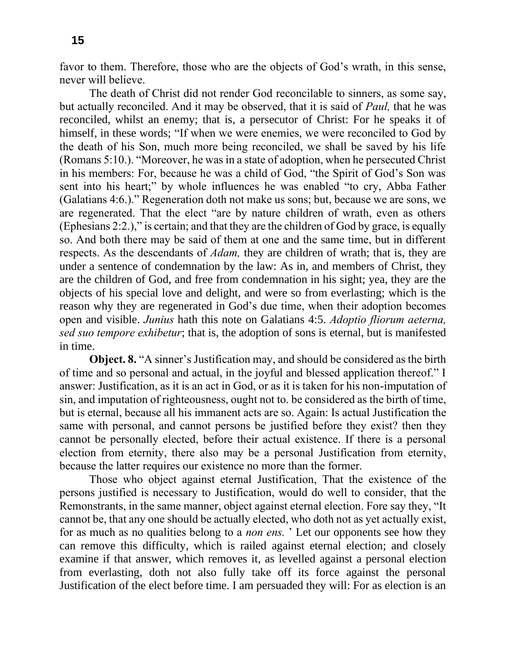favor to them. Therefore, those who are the objects of God's wrath, in this sense, never will believe.

The death of Christ did not render God reconcilable to sinners, as some say, but actually reconciled. And it may be observed, that it is said of *Paul,* that he was reconciled, whilst an enemy; that is, a persecutor of Christ: For he speaks it of himself, in these words; "If when we were enemies, we were reconciled to God by the death of his Son, much more being reconciled, we shall be saved by his life (Romans 5:10.). "Moreover, he was in a state of adoption, when he persecuted Christ in his members: For, because he was a child of God, "the Spirit of God's Son was sent into his heart;" by whole influences he was enabled "to cry, Abba Father (Galatians 4:6.)." Regeneration doth not make us sons; but, because we are sons, we are regenerated. That the elect "are by nature children of wrath, even as others (Ephesians 2:2.)," is certain; and that they are the children of God by grace, is equally so. And both there may be said of them at one and the same time, but in different respects. As the descendants of *Adam,* they are children of wrath; that is, they are under a sentence of condemnation by the law: As in, and members of Christ, they are the children of God, and free from condemnation in his sight; yea, they are the objects of his special love and delight, and were so from everlasting; which is the reason why they are regenerated in God's due time, when their adoption becomes open and visible. *Junius* hath this note on Galatians 4:5. *Adoptio fliorum aeterna, sed suo tempore exhibetur*; that is, the adoption of sons is eternal, but is manifested in time.

**Object. 8.** "A sinner's Justification may, and should be considered as the birth of time and so personal and actual, in the joyful and blessed application thereof." I answer: Justification, as it is an act in God, or as it is taken for his non-imputation of sin, and imputation of righteousness, ought not to. be considered as the birth of time, but is eternal, because all his immanent acts are so. Again: Is actual Justification the same with personal, and cannot persons be justified before they exist? then they cannot be personally elected, before their actual existence. If there is a personal election from eternity, there also may be a personal Justification from eternity, because the latter requires our existence no more than the former.

Those who object against eternal Justification, That the existence of the persons justified is necessary to Justification, would do well to consider, that the Remonstrants, in the same manner, object against eternal election. Fore say they, "It cannot be, that any one should be actually elected, who doth not as yet actually exist, for as much as no qualities belong to a *non ens.* ' Let our opponents see how they can remove this difficulty, which is railed against eternal election; and closely examine if that answer, which removes it, as levelled against a personal election from everlasting, doth not also fully take off its force against the personal Justification of the elect before time. I am persuaded they will: For as election is an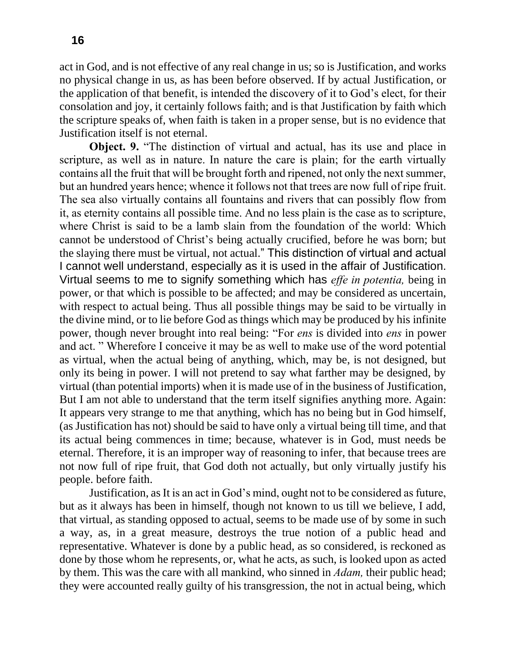act in God, and is not effective of any real change in us; so is Justification, and works no physical change in us, as has been before observed. If by actual Justification, or the application of that benefit, is intended the discovery of it to God's elect, for their consolation and joy, it certainly follows faith; and is that Justification by faith which the scripture speaks of, when faith is taken in a proper sense, but is no evidence that Justification itself is not eternal.

**Object. 9.** "The distinction of virtual and actual, has its use and place in scripture, as well as in nature. In nature the care is plain; for the earth virtually contains all the fruit that will be brought forth and ripened, not only the next summer, but an hundred years hence; whence it follows not that trees are now full of ripe fruit. The sea also virtually contains all fountains and rivers that can possibly flow from it, as eternity contains all possible time. And no less plain is the case as to scripture, where Christ is said to be a lamb slain from the foundation of the world: Which cannot be understood of Christ's being actually crucified, before he was born; but the slaying there must be virtual, not actual." This distinction of virtual and actual I cannot well understand, especially as it is used in the affair of Justification. Virtual seems to me to signify something which has *effe in potentia,* being in power, or that which is possible to be affected; and may be considered as uncertain, with respect to actual being. Thus all possible things may be said to be virtually in the divine mind, or to lie before God as things which may be produced by his infinite power, though never brought into real being: "For *ens* is divided into *ens* in power and act. " Wherefore I conceive it may be as well to make use of the word potential as virtual, when the actual being of anything, which, may be, is not designed, but only its being in power. I will not pretend to say what farther may be designed, by virtual (than potential imports) when it is made use of in the business of Justification, But I am not able to understand that the term itself signifies anything more. Again: It appears very strange to me that anything, which has no being but in God himself, (as Justification has not) should be said to have only a virtual being till time, and that its actual being commences in time; because, whatever is in God, must needs be eternal. Therefore, it is an improper way of reasoning to infer, that because trees are not now full of ripe fruit, that God doth not actually, but only virtually justify his people. before faith.

Justification, as It is an act in God's mind, ought not to be considered as future, but as it always has been in himself, though not known to us till we believe, I add, that virtual, as standing opposed to actual, seems to be made use of by some in such a way, as, in a great measure, destroys the true notion of a public head and representative. Whatever is done by a public head, as so considered, is reckoned as done by those whom he represents, or, what he acts, as such, is looked upon as acted by them. This was the care with all mankind, who sinned in *Adam,* their public head; they were accounted really guilty of his transgression, the not in actual being, which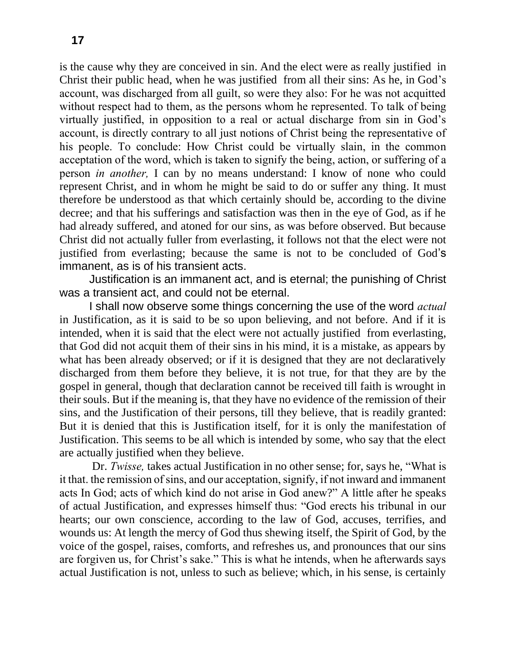is the cause why they are conceived in sin. And the elect were as really justified in Christ their public head, when he was justified from all their sins: As he, in God's account, was discharged from all guilt, so were they also: For he was not acquitted without respect had to them, as the persons whom he represented. To talk of being virtually justified, in opposition to a real or actual discharge from sin in God's account, is directly contrary to all just notions of Christ being the representative of his people. To conclude: How Christ could be virtually slain, in the common acceptation of the word, which is taken to signify the being, action, or suffering of a person *in another,* I can by no means understand: I know of none who could represent Christ, and in whom he might be said to do or suffer any thing. It must therefore be understood as that which certainly should be, according to the divine decree; and that his sufferings and satisfaction was then in the eye of God, as if he had already suffered, and atoned for our sins, as was before observed. But because Christ did not actually fuller from everlasting, it follows not that the elect were not justified from everlasting; because the same is not to be concluded of God's immanent, as is of his transient acts.

Justification is an immanent act, and is eternal; the punishing of Christ was a transient act, and could not be eternal.

I shall now observe some things concerning the use of the word *actual*  in Justification, as it is said to be so upon believing, and not before. And if it is intended, when it is said that the elect were not actually justified from everlasting, that God did not acquit them of their sins in his mind, it is a mistake, as appears by what has been already observed; or if it is designed that they are not declaratively discharged from them before they believe, it is not true, for that they are by the gospel in general, though that declaration cannot be received till faith is wrought in their souls. But if the meaning is, that they have no evidence of the remission of their sins, and the Justification of their persons, till they believe, that is readily granted: But it is denied that this is Justification itself, for it is only the manifestation of Justification. This seems to be all which is intended by some, who say that the elect are actually justified when they believe.

Dr. *Twisse,* takes actual Justification in no other sense; for, says he, "What is it that. the remission of sins, and our acceptation, signify, if not inward and immanent acts In God; acts of which kind do not arise in God anew?" A little after he speaks of actual Justification, and expresses himself thus: "God erects his tribunal in our hearts; our own conscience, according to the law of God, accuses, terrifies, and wounds us: At length the mercy of God thus shewing itself, the Spirit of God, by the voice of the gospel, raises, comforts, and refreshes us, and pronounces that our sins are forgiven us, for Christ's sake." This is what he intends, when he afterwards says actual Justification is not, unless to such as believe; which, in his sense, is certainly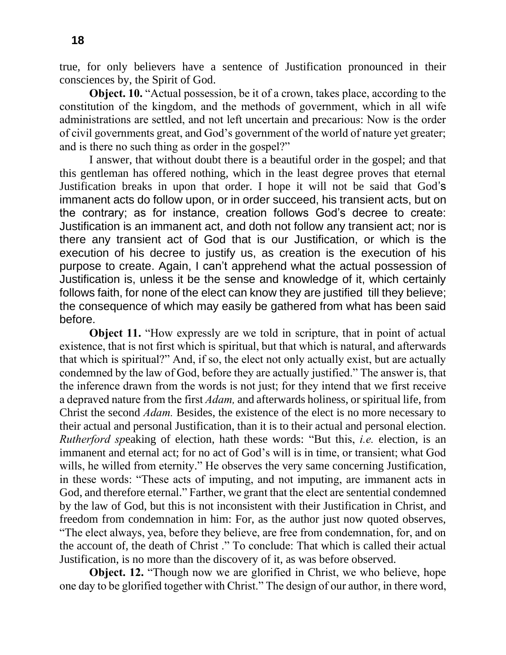true, for only believers have a sentence of Justification pronounced in their consciences by, the Spirit of God.

**Object. 10.** "Actual possession, be it of a crown, takes place, according to the constitution of the kingdom, and the methods of government, which in all wife administrations are settled, and not left uncertain and precarious: Now is the order of civil governments great, and God's government of the world of nature yet greater; and is there no such thing as order in the gospel?"

I answer, that without doubt there is a beautiful order in the gospel; and that this gentleman has offered nothing, which in the least degree proves that eternal Justification breaks in upon that order. I hope it will not be said that God's immanent acts do follow upon, or in order succeed, his transient acts, but on the contrary; as for instance, creation follows God's decree to create: Justification is an immanent act, and doth not follow any transient act; nor is there any transient act of God that is our Justification, or which is the execution of his decree to justify us, as creation is the execution of his purpose to create. Again, I can't apprehend what the actual possession of Justification is, unless it be the sense and knowledge of it, which certainly follows faith, for none of the elect can know they are justified till they believe; the consequence of which may easily be gathered from what has been said before.

**Object 11.** "How expressly are we told in scripture, that in point of actual existence, that is not first which is spiritual, but that which is natural, and afterwards that which is spiritual?" And, if so, the elect not only actually exist, but are actually condemned by the law of God, before they are actually justified." The answer is, that the inference drawn from the words is not just; for they intend that we first receive a depraved nature from the first *Adam,* and afterwards holiness, or spiritual life, from Christ the second *Adam.* Besides, the existence of the elect is no more necessary to their actual and personal Justification, than it is to their actual and personal election. *Rutherford sp*eaking of election, hath these words: "But this, *i.e.* election, is an immanent and eternal act; for no act of God's will is in time, or transient; what God wills, he willed from eternity." He observes the very same concerning Justification, in these words: "These acts of imputing, and not imputing, are immanent acts in God, and therefore eternal." Farther, we grant that the elect are sentential condemned by the law of God, but this is not inconsistent with their Justification in Christ, and freedom from condemnation in him: For, as the author just now quoted observes, "The elect always, yea, before they believe, are free from condemnation, for, and on the account of, the death of Christ ." To conclude: That which is called their actual Justification, is no more than the discovery of it, as was before observed.

**Object. 12.** "Though now we are glorified in Christ, we who believe, hope one day to be glorified together with Christ." The design of our author, in there word,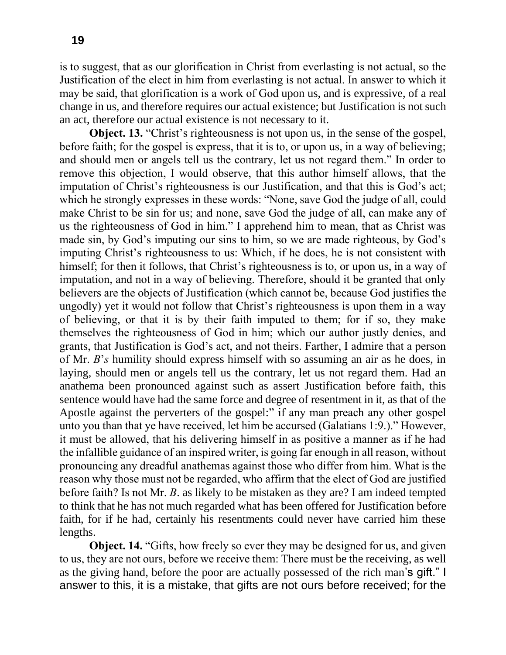is to suggest, that as our glorification in Christ from everlasting is not actual, so the Justification of the elect in him from everlasting is not actual. In answer to which it may be said, that glorification is a work of God upon us, and is expressive, of a real change in us, and therefore requires our actual existence; but Justification is not such an act, therefore our actual existence is not necessary to it.

**Object. 13.** "Christ's righteousness is not upon us, in the sense of the gospel, before faith; for the gospel is express, that it is to, or upon us, in a way of believing; and should men or angels tell us the contrary, let us not regard them." In order to remove this objection, I would observe, that this author himself allows, that the imputation of Christ's righteousness is our Justification, and that this is God's act; which he strongly expresses in these words: "None, save God the judge of all, could make Christ to be sin for us; and none, save God the judge of all, can make any of us the righteousness of God in him." I apprehend him to mean, that as Christ was made sin, by God's imputing our sins to him, so we are made righteous, by God's imputing Christ's righteousness to us: Which, if he does, he is not consistent with himself; for then it follows, that Christ's righteousness is to, or upon us, in a way of imputation, and not in a way of believing. Therefore, should it be granted that only believers are the objects of Justification (which cannot be, because God justifies the ungodly) yet it would not follow that Christ's righteousness is upon them in a way of believing, or that it is by their faith imputed to them; for if so, they make themselves the righteousness of God in him; which our author justly denies, and grants, that Justification is God's act, and not theirs. Farther, I admire that a person of Mr. *B*'*s* humility should express himself with so assuming an air as he does, in laying, should men or angels tell us the contrary, let us not regard them. Had an anathema been pronounced against such as assert Justification before faith, this sentence would have had the same force and degree of resentment in it, as that of the Apostle against the perverters of the gospel:" if any man preach any other gospel unto you than that ye have received, let him be accursed (Galatians 1:9.)." However, it must be allowed, that his delivering himself in as positive a manner as if he had the infallible guidance of an inspired writer, is going far enough in all reason, without pronouncing any dreadful anathemas against those who differ from him. What is the reason why those must not be regarded, who affirm that the elect of God are justified before faith? Is not Mr. *B*. as likely to be mistaken as they are? I am indeed tempted to think that he has not much regarded what has been offered for Justification before faith, for if he had, certainly his resentments could never have carried him these lengths.

**Object. 14.** "Gifts, how freely so ever they may be designed for us, and given to us, they are not ours, before we receive them: There must be the receiving, as well as the giving hand, before the poor are actually possessed of the rich man's gift." I answer to this, it is a mistake, that gifts are not ours before received; for the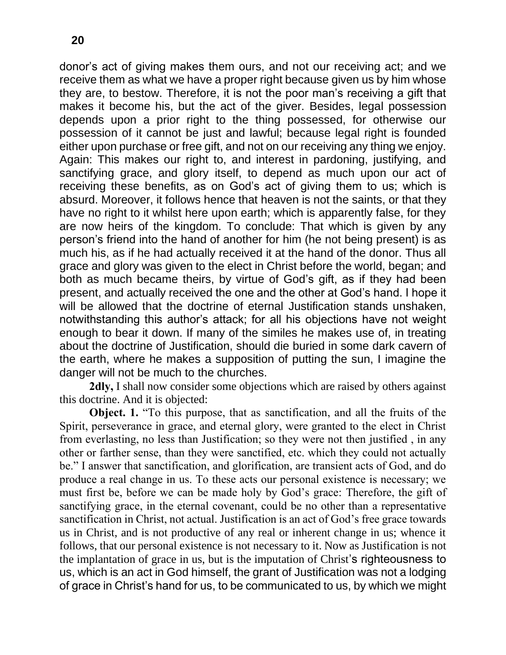donor's act of giving makes them ours, and not our receiving act; and we receive them as what we have a proper right because given us by him whose they are, to bestow. Therefore, it is not the poor man's receiving a gift that makes it become his, but the act of the giver. Besides, legal possession depends upon a prior right to the thing possessed, for otherwise our possession of it cannot be just and lawful; because legal right is founded either upon purchase or free gift, and not on our receiving any thing we enjoy. Again: This makes our right to, and interest in pardoning, justifying, and sanctifying grace, and glory itself, to depend as much upon our act of receiving these benefits, as on God's act of giving them to us; which is absurd. Moreover, it follows hence that heaven is not the saints, or that they have no right to it whilst here upon earth; which is apparently false, for they are now heirs of the kingdom. To conclude: That which is given by any person's friend into the hand of another for him (he not being present) is as much his, as if he had actually received it at the hand of the donor. Thus all grace and glory was given to the elect in Christ before the world, began; and both as much became theirs, by virtue of God's gift, as if they had been present, and actually received the one and the other at God's hand. I hope it will be allowed that the doctrine of eternal Justification stands unshaken, notwithstanding this author's attack; for all his objections have not weight enough to bear it down. If many of the similes he makes use of, in treating about the doctrine of Justification, should die buried in some dark cavern of the earth, where he makes a supposition of putting the sun, I imagine the danger will not be much to the churches.

**2dly,** I shall now consider some objections which are raised by others against this doctrine. And it is objected:

**Object. 1.** "To this purpose, that as sanctification, and all the fruits of the Spirit, perseverance in grace, and eternal glory, were granted to the elect in Christ from everlasting, no less than Justification; so they were not then justified , in any other or farther sense, than they were sanctified, etc. which they could not actually be." I answer that sanctification, and glorification, are transient acts of God, and do produce a real change in us. To these acts our personal existence is necessary; we must first be, before we can be made holy by God's grace: Therefore, the gift of sanctifying grace, in the eternal covenant, could be no other than a representative sanctification in Christ, not actual. Justification is an act of God's free grace towards us in Christ, and is not productive of any real or inherent change in us; whence it follows, that our personal existence is not necessary to it. Now as Justification is not the implantation of grace in us, but is the imputation of Christ's righteousness to us, which is an act in God himself, the grant of Justification was not a lodging of grace in Christ's hand for us, to be communicated to us, by which we might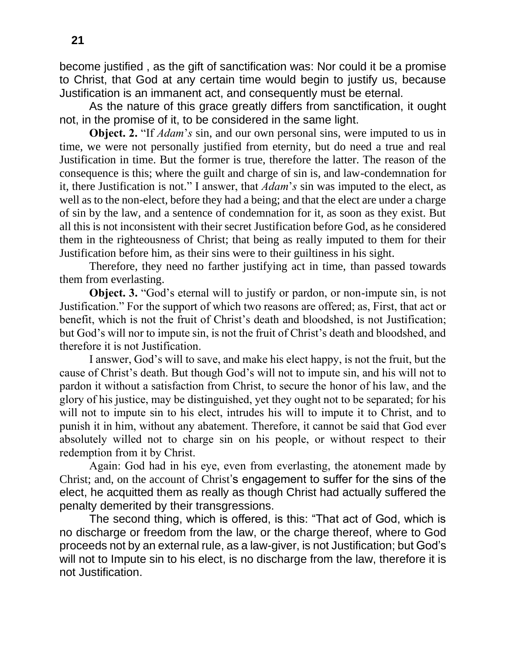become justified , as the gift of sanctification was: Nor could it be a promise to Christ, that God at any certain time would begin to justify us, because Justification is an immanent act, and consequently must be eternal.

As the nature of this grace greatly differs from sanctification, it ought not, in the promise of it, to be considered in the same light.

**Object. 2.** "If *Adam*'*s* sin, and our own personal sins, were imputed to us in time, we were not personally justified from eternity, but do need a true and real Justification in time. But the former is true, therefore the latter. The reason of the consequence is this; where the guilt and charge of sin is, and law-condemnation for it, there Justification is not." I answer, that *Adam*'*s* sin was imputed to the elect, as well as to the non-elect, before they had a being; and that the elect are under a charge of sin by the law, and a sentence of condemnation for it, as soon as they exist. But all this is not inconsistent with their secret Justification before God, as he considered them in the righteousness of Christ; that being as really imputed to them for their Justification before him, as their sins were to their guiltiness in his sight.

Therefore, they need no farther justifying act in time, than passed towards them from everlasting.

**Object. 3.** "God's eternal will to justify or pardon, or non-impute sin, is not Justification." For the support of which two reasons are offered; as, First, that act or benefit, which is not the fruit of Christ's death and bloodshed, is not Justification; but God's will nor to impute sin, is not the fruit of Christ's death and bloodshed, and therefore it is not Justification.

I answer, God's will to save, and make his elect happy, is not the fruit, but the cause of Christ's death. But though God's will not to impute sin, and his will not to pardon it without a satisfaction from Christ, to secure the honor of his law, and the glory of his justice, may be distinguished, yet they ought not to be separated; for his will not to impute sin to his elect, intrudes his will to impute it to Christ, and to punish it in him, without any abatement. Therefore, it cannot be said that God ever absolutely willed not to charge sin on his people, or without respect to their redemption from it by Christ.

Again: God had in his eye, even from everlasting, the atonement made by Christ; and, on the account of Christ's engagement to suffer for the sins of the elect, he acquitted them as really as though Christ had actually suffered the penalty demerited by their transgressions.

The second thing, which is offered, is this: "That act of God, which is no discharge or freedom from the law, or the charge thereof, where to God proceeds not by an external rule, as a law-giver, is not Justification; but God's will not to Impute sin to his elect, is no discharge from the law, therefore it is not Justification.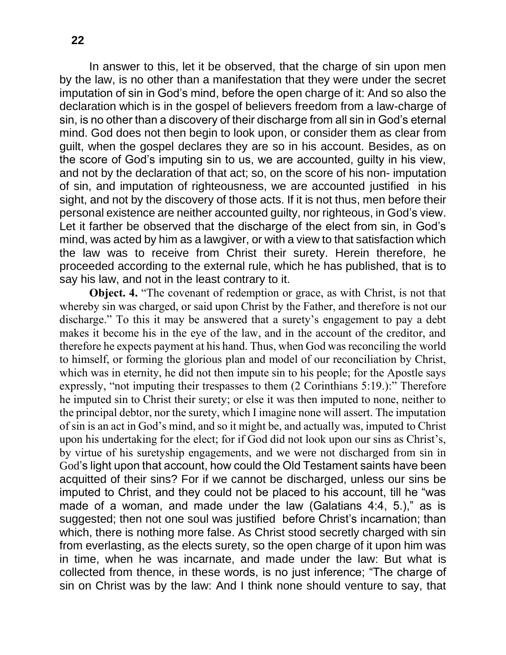In answer to this, let it be observed, that the charge of sin upon men by the law, is no other than a manifestation that they were under the secret imputation of sin in God's mind, before the open charge of it: And so also the declaration which is in the gospel of believers freedom from a law-charge of sin, is no other than a discovery of their discharge from all sin in God's eternal mind. God does not then begin to look upon, or consider them as clear from guilt, when the gospel declares they are so in his account. Besides, as on the score of God's imputing sin to us, we are accounted, guilty in his view, and not by the declaration of that act; so, on the score of his non- imputation of sin, and imputation of righteousness, we are accounted justified in his sight, and not by the discovery of those acts. If it is not thus, men before their personal existence are neither accounted guilty, nor righteous, in God's view. Let it farther be observed that the discharge of the elect from sin, in God's mind, was acted by him as a lawgiver, or with a view to that satisfaction which the law was to receive from Christ their surety. Herein therefore, he proceeded according to the external rule, which he has published, that is to say his law, and not in the least contrary to it.

**Object. 4.** "The covenant of redemption or grace, as with Christ, is not that whereby sin was charged, or said upon Christ by the Father, and therefore is not our discharge." To this it may be answered that a surety's engagement to pay a debt makes it become his in the eye of the law, and in the account of the creditor, and therefore he expects payment at his hand. Thus, when God was reconciling the world to himself, or forming the glorious plan and model of our reconciliation by Christ, which was in eternity, he did not then impute sin to his people; for the Apostle says expressly, "not imputing their trespasses to them (2 Corinthians 5:19.):" Therefore he imputed sin to Christ their surety; or else it was then imputed to none, neither to the principal debtor, nor the surety, which I imagine none will assert. The imputation of sin is an act in God's mind, and so it might be, and actually was, imputed to Christ upon his undertaking for the elect; for if God did not look upon our sins as Christ's, by virtue of his suretyship engagements, and we were not discharged from sin in God's light upon that account, how could the Old Testament saints have been acquitted of their sins? For if we cannot be discharged, unless our sins be imputed to Christ, and they could not be placed to his account, till he "was made of a woman, and made under the law (Galatians 4:4, 5.)," as is suggested; then not one soul was justified before Christ's incarnation; than which, there is nothing more false. As Christ stood secretly charged with sin from everlasting, as the elects surety, so the open charge of it upon him was in time, when he was incarnate, and made under the law: But what is collected from thence, in these words, is no just inference; "The charge of sin on Christ was by the law: And I think none should venture to say, that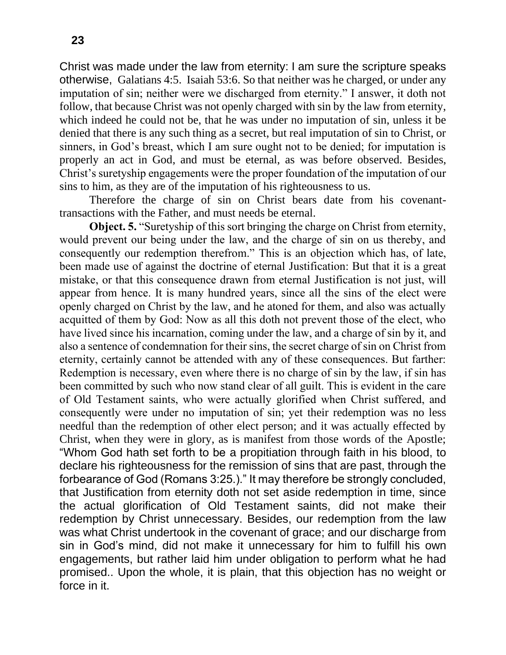Christ was made under the law from eternity: I am sure the scripture speaks otherwise, Galatians 4:5. Isaiah 53:6. So that neither was he charged, or under any imputation of sin; neither were we discharged from eternity." I answer, it doth not follow, that because Christ was not openly charged with sin by the law from eternity, which indeed he could not be, that he was under no imputation of sin, unless it be denied that there is any such thing as a secret, but real imputation of sin to Christ, or sinners, in God's breast, which I am sure ought not to be denied; for imputation is properly an act in God, and must be eternal, as was before observed. Besides, Christ's suretyship engagements were the proper foundation of the imputation of our sins to him, as they are of the imputation of his righteousness to us.

Therefore the charge of sin on Christ bears date from his covenanttransactions with the Father, and must needs be eternal.

**Object. 5.** "Suretyship of this sort bringing the charge on Christ from eternity, would prevent our being under the law, and the charge of sin on us thereby, and consequently our redemption therefrom." This is an objection which has, of late, been made use of against the doctrine of eternal Justification: But that it is a great mistake, or that this consequence drawn from eternal Justification is not just, will appear from hence. It is many hundred years, since all the sins of the elect were openly charged on Christ by the law, and he atoned for them, and also was actually acquitted of them by God: Now as all this doth not prevent those of the elect, who have lived since his incarnation, coming under the law, and a charge of sin by it, and also a sentence of condemnation for their sins, the secret charge of sin on Christ from eternity, certainly cannot be attended with any of these consequences. But farther: Redemption is necessary, even where there is no charge of sin by the law, if sin has been committed by such who now stand clear of all guilt. This is evident in the care of Old Testament saints, who were actually glorified when Christ suffered, and consequently were under no imputation of sin; yet their redemption was no less needful than the redemption of other elect person; and it was actually effected by Christ, when they were in glory, as is manifest from those words of the Apostle; "Whom God hath set forth to be a propitiation through faith in his blood, to declare his righteousness for the remission of sins that are past, through the forbearance of God (Romans 3:25.)." It may therefore be strongly concluded, that Justification from eternity doth not set aside redemption in time, since the actual glorification of Old Testament saints, did not make their redemption by Christ unnecessary. Besides, our redemption from the law was what Christ undertook in the covenant of grace; and our discharge from sin in God's mind, did not make it unnecessary for him to fulfill his own engagements, but rather laid him under obligation to perform what he had promised.. Upon the whole, it is plain, that this objection has no weight or force in it.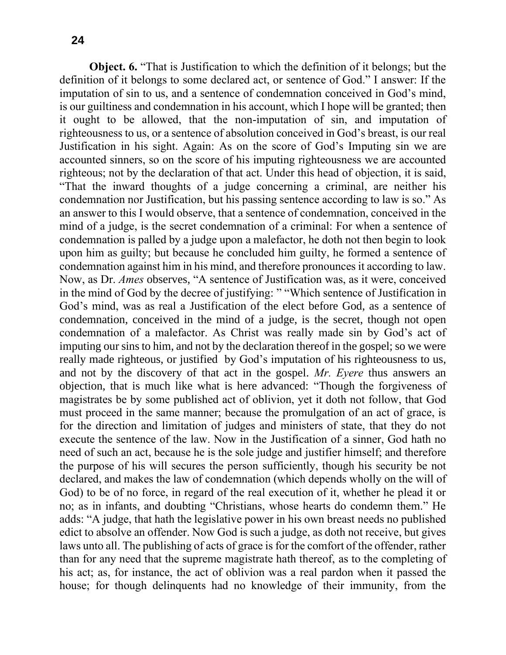**Object. 6.** "That is Justification to which the definition of it belongs; but the definition of it belongs to some declared act, or sentence of God." I answer: If the imputation of sin to us, and a sentence of condemnation conceived in God's mind, is our guiltiness and condemnation in his account, which I hope will be granted; then it ought to be allowed, that the non-imputation of sin, and imputation of righteousness to us, or a sentence of absolution conceived in God's breast, is our real Justification in his sight. Again: As on the score of God's Imputing sin we are accounted sinners, so on the score of his imputing righteousness we are accounted righteous; not by the declaration of that act. Under this head of objection, it is said, "That the inward thoughts of a judge concerning a criminal, are neither his condemnation nor Justification, but his passing sentence according to law is so." As an answer to this I would observe, that a sentence of condemnation, conceived in the mind of a judge, is the secret condemnation of a criminal: For when a sentence of condemnation is palled by a judge upon a malefactor, he doth not then begin to look upon him as guilty; but because he concluded him guilty, he formed a sentence of condemnation against him in his mind, and therefore pronounces it according to law. Now, as Dr. *Ames* observes, "A sentence of Justification was, as it were, conceived in the mind of God by the decree of justifying: " "Which sentence of Justification in God's mind, was as real a Justification of the elect before God, as a sentence of condemnation, conceived in the mind of a judge, is the secret, though not open condemnation of a malefactor. As Christ was really made sin by God's act of imputing our sins to him, and not by the declaration thereof in the gospel; so we were really made righteous, or justified by God's imputation of his righteousness to us, and not by the discovery of that act in the gospel. *Mr. Eyere* thus answers an objection, that is much like what is here advanced: "Though the forgiveness of magistrates be by some published act of oblivion, yet it doth not follow, that God must proceed in the same manner; because the promulgation of an act of grace, is for the direction and limitation of judges and ministers of state, that they do not execute the sentence of the law. Now in the Justification of a sinner, God hath no need of such an act, because he is the sole judge and justifier himself; and therefore the purpose of his will secures the person sufficiently, though his security be not declared, and makes the law of condemnation (which depends wholly on the will of God) to be of no force, in regard of the real execution of it, whether he plead it or no; as in infants, and doubting "Christians, whose hearts do condemn them." He adds: "A judge, that hath the legislative power in his own breast needs no published edict to absolve an offender. Now God is such a judge, as doth not receive, but gives laws unto all. The publishing of acts of grace is for the comfort of the offender, rather than for any need that the supreme magistrate hath thereof, as to the completing of his act; as, for instance, the act of oblivion was a real pardon when it passed the house; for though delinquents had no knowledge of their immunity, from the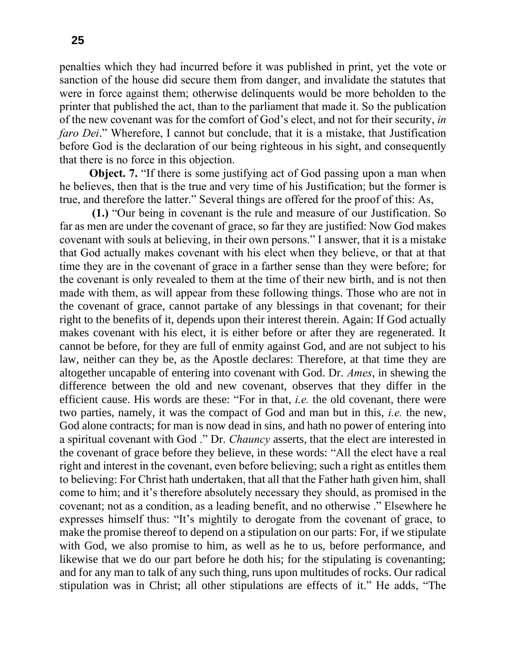penalties which they had incurred before it was published in print, yet the vote or sanction of the house did secure them from danger, and invalidate the statutes that were in force against them; otherwise delinquents would be more beholden to the printer that published the act, than to the parliament that made it. So the publication of the new covenant was for the comfort of God's elect, and not for their security, *in faro Dei*." Wherefore, I cannot but conclude, that it is a mistake, that Justification before God is the declaration of our being righteous in his sight, and consequently that there is no force in this objection.

**Object. 7.** "If there is some justifying act of God passing upon a man when he believes, then that is the true and very time of his Justification; but the former is true, and therefore the latter." Several things are offered for the proof of this: As,

**(1.)** "Our being in covenant is the rule and measure of our Justification. So far as men are under the covenant of grace, so far they are justified: Now God makes covenant with souls at believing, in their own persons." I answer, that it is a mistake that God actually makes covenant with his elect when they believe, or that at that time they are in the covenant of grace in a farther sense than they were before; for the covenant is only revealed to them at the time of their new birth, and is not then made with them, as will appear from these following things. Those who are not in the covenant of grace, cannot partake of any blessings in that covenant; for their right to the benefits of it, depends upon their interest therein. Again: If God actually makes covenant with his elect, it is either before or after they are regenerated. It cannot be before, for they are full of enmity against God, and are not subject to his law, neither can they be, as the Apostle declares: Therefore, at that time they are altogether uncapable of entering into covenant with God. Dr. *Ames*, in shewing the difference between the old and new covenant, observes that they differ in the efficient cause. His words are these: "For in that, *i.e.* the old covenant, there were two parties, namely, it was the compact of God and man but in this, *i.e.* the new, God alone contracts; for man is now dead in sins, and hath no power of entering into a spiritual covenant with God ." Dr. *Chauncy* asserts, that the elect are interested in the covenant of grace before they believe, in these words: "All the elect have a real right and interest in the covenant, even before believing; such a right as entitles them to believing: For Christ hath undertaken, that all that the Father hath given him, shall come to him; and it's therefore absolutely necessary they should, as promised in the covenant; not as a condition, as a leading benefit, and no otherwise ." Elsewhere he expresses himself thus: "It's mightily to derogate from the covenant of grace, to make the promise thereof to depend on a stipulation on our parts: For, if we stipulate with God, we also promise to him, as well as he to us, before performance, and likewise that we do our part before he doth his; for the stipulating is covenanting; and for any man to talk of any such thing, runs upon multitudes of rocks. Our radical stipulation was in Christ; all other stipulations are effects of it." He adds, "The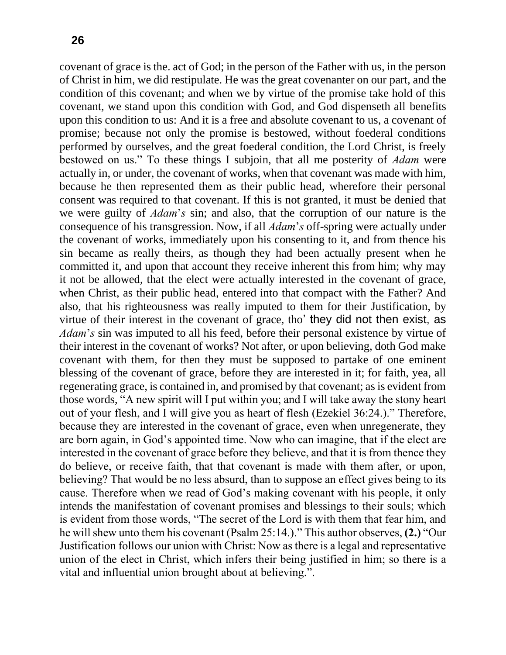covenant of grace is the. act of God; in the person of the Father with us, in the person of Christ in him, we did restipulate. He was the great covenanter on our part, and the condition of this covenant; and when we by virtue of the promise take hold of this covenant, we stand upon this condition with God, and God dispenseth all benefits upon this condition to us: And it is a free and absolute covenant to us, a covenant of promise; because not only the promise is bestowed, without foederal conditions performed by ourselves, and the great foederal condition, the Lord Christ, is freely bestowed on us." To these things I subjoin, that all me posterity of *Adam* were actually in, or under, the covenant of works, when that covenant was made with him, because he then represented them as their public head, wherefore their personal consent was required to that covenant. If this is not granted, it must be denied that we were guilty of *Adam*'*s* sin; and also, that the corruption of our nature is the consequence of his transgression. Now, if all *Adam*'*s* off-spring were actually under the covenant of works, immediately upon his consenting to it, and from thence his sin became as really theirs, as though they had been actually present when he committed it, and upon that account they receive inherent this from him; why may it not be allowed, that the elect were actually interested in the covenant of grace, when Christ, as their public head, entered into that compact with the Father? And also, that his righteousness was really imputed to them for their Justification, by virtue of their interest in the covenant of grace, tho' they did not then exist, as *Adam*'*s* sin was imputed to all his feed, before their personal existence by virtue of their interest in the covenant of works? Not after, or upon believing, doth God make covenant with them, for then they must be supposed to partake of one eminent blessing of the covenant of grace, before they are interested in it; for faith, yea, all regenerating grace, is contained in, and promised by that covenant; as is evident from those words, "A new spirit will I put within you; and I will take away the stony heart out of your flesh, and I will give you as heart of flesh (Ezekiel 36:24.)." Therefore, because they are interested in the covenant of grace, even when unregenerate, they are born again, in God's appointed time. Now who can imagine, that if the elect are interested in the covenant of grace before they believe, and that it is from thence they do believe, or receive faith, that that covenant is made with them after, or upon, believing? That would be no less absurd, than to suppose an effect gives being to its cause. Therefore when we read of God's making covenant with his people, it only intends the manifestation of covenant promises and blessings to their souls; which is evident from those words, "The secret of the Lord is with them that fear him, and he will shew unto them his covenant (Psalm 25:14.)." This author observes, **(2.)** "Our Justification follows our union with Christ: Now as there is a legal and representative union of the elect in Christ, which infers their being justified in him; so there is a vital and influential union brought about at believing.".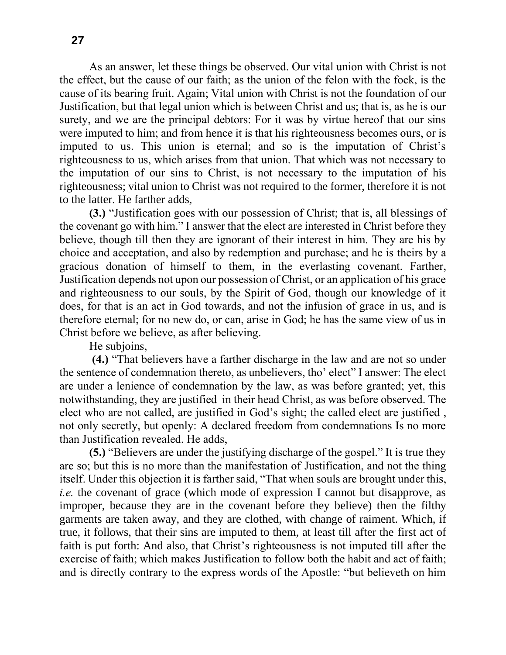As an answer, let these things be observed. Our vital union with Christ is not the effect, but the cause of our faith; as the union of the felon with the fock, is the cause of its bearing fruit. Again; Vital union with Christ is not the foundation of our Justification, but that legal union which is between Christ and us; that is, as he is our surety, and we are the principal debtors: For it was by virtue hereof that our sins were imputed to him; and from hence it is that his righteousness becomes ours, or is imputed to us. This union is eternal; and so is the imputation of Christ's righteousness to us, which arises from that union. That which was not necessary to the imputation of our sins to Christ, is not necessary to the imputation of his righteousness; vital union to Christ was not required to the former, therefore it is not to the latter. He farther adds,

**(3.)** "Justification goes with our possession of Christ; that is, all blessings of the covenant go with him." I answer that the elect are interested in Christ before they believe, though till then they are ignorant of their interest in him. They are his by choice and acceptation, and also by redemption and purchase; and he is theirs by a gracious donation of himself to them, in the everlasting covenant. Farther, Justification depends not upon our possession of Christ, or an application of his grace and righteousness to our souls, by the Spirit of God, though our knowledge of it does, for that is an act in God towards, and not the infusion of grace in us, and is therefore eternal; for no new do, or can, arise in God; he has the same view of us in Christ before we believe, as after believing.

He subjoins,

**(4.)** "That believers have a farther discharge in the law and are not so under the sentence of condemnation thereto, as unbelievers, tho' elect" I answer: The elect are under a lenience of condemnation by the law, as was before granted; yet, this notwithstanding, they are justified in their head Christ, as was before observed. The elect who are not called, are justified in God's sight; the called elect are justified , not only secretly, but openly: A declared freedom from condemnations Is no more than Justification revealed. He adds,

**(5.)** "Believers are under the justifying discharge of the gospel." It is true they are so; but this is no more than the manifestation of Justification, and not the thing itself. Under this objection it is farther said, "That when souls are brought under this, *i.e.* the covenant of grace (which mode of expression I cannot but disapprove, as improper, because they are in the covenant before they believe) then the filthy garments are taken away, and they are clothed, with change of raiment. Which, if true, it follows, that their sins are imputed to them, at least till after the first act of faith is put forth: And also, that Christ's righteousness is not imputed till after the exercise of faith; which makes Justification to follow both the habit and act of faith; and is directly contrary to the express words of the Apostle: "but believeth on him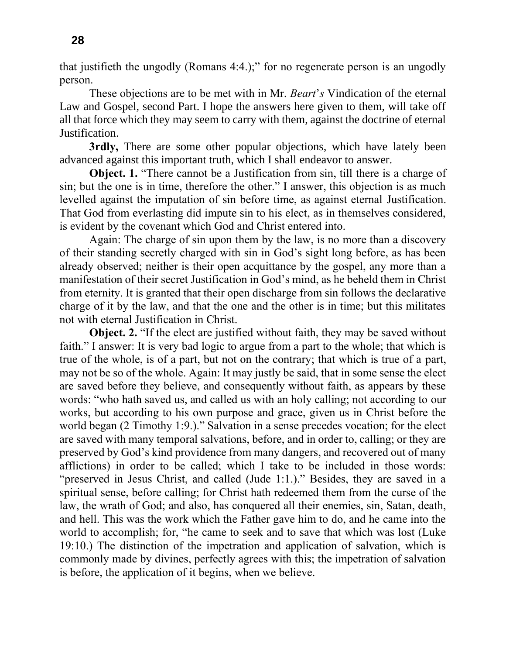that justifieth the ungodly (Romans 4:4.);" for no regenerate person is an ungodly person.

These objections are to be met with in Mr. *Beart*'*s* Vindication of the eternal Law and Gospel, second Part. I hope the answers here given to them, will take off all that force which they may seem to carry with them, against the doctrine of eternal Justification.

**3rdly,** There are some other popular objections, which have lately been advanced against this important truth, which I shall endeavor to answer.

**Object. 1.** "There cannot be a Justification from sin, till there is a charge of sin; but the one is in time, therefore the other." I answer, this objection is as much levelled against the imputation of sin before time, as against eternal Justification. That God from everlasting did impute sin to his elect, as in themselves considered, is evident by the covenant which God and Christ entered into.

Again: The charge of sin upon them by the law, is no more than a discovery of their standing secretly charged with sin in God's sight long before, as has been already observed; neither is their open acquittance by the gospel, any more than a manifestation of their secret Justification in God's mind, as he beheld them in Christ from eternity. It is granted that their open discharge from sin follows the declarative charge of it by the law, and that the one and the other is in time; but this militates not with eternal Justification in Christ.

**Object. 2.** "If the elect are justified without faith, they may be saved without faith." I answer: It is very bad logic to argue from a part to the whole; that which is true of the whole, is of a part, but not on the contrary; that which is true of a part, may not be so of the whole. Again: It may justly be said, that in some sense the elect are saved before they believe, and consequently without faith, as appears by these words: "who hath saved us, and called us with an holy calling; not according to our works, but according to his own purpose and grace, given us in Christ before the world began (2 Timothy 1:9.)." Salvation in a sense precedes vocation; for the elect are saved with many temporal salvations, before, and in order to, calling; or they are preserved by God's kind providence from many dangers, and recovered out of many afflictions) in order to be called; which I take to be included in those words: "preserved in Jesus Christ, and called (Jude 1:1.)." Besides, they are saved in a spiritual sense, before calling; for Christ hath redeemed them from the curse of the law, the wrath of God; and also, has conquered all their enemies, sin, Satan, death, and hell. This was the work which the Father gave him to do, and he came into the world to accomplish; for, "he came to seek and to save that which was lost (Luke 19:10.) The distinction of the impetration and application of salvation, which is commonly made by divines, perfectly agrees with this; the impetration of salvation is before, the application of it begins, when we believe.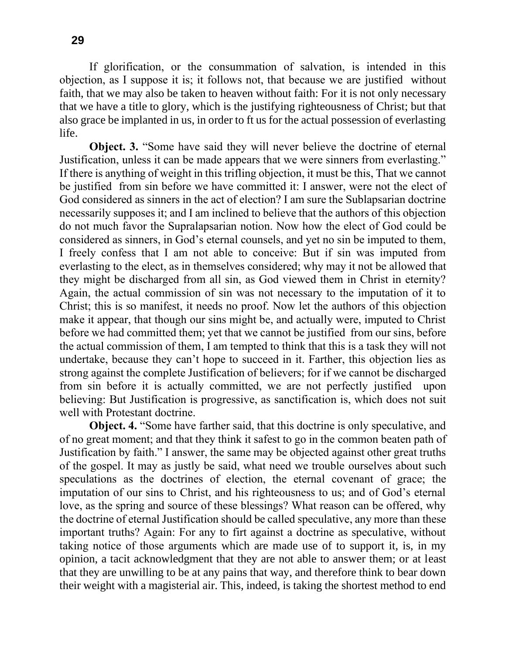If glorification, or the consummation of salvation, is intended in this objection, as I suppose it is; it follows not, that because we are justified without faith, that we may also be taken to heaven without faith: For it is not only necessary that we have a title to glory, which is the justifying righteousness of Christ; but that also grace be implanted in us, in order to ft us for the actual possession of everlasting life.

**Object. 3.** "Some have said they will never believe the doctrine of eternal Justification, unless it can be made appears that we were sinners from everlasting." If there is anything of weight in this trifling objection, it must be this, That we cannot be justified from sin before we have committed it: I answer, were not the elect of God considered as sinners in the act of election? I am sure the Sublapsarian doctrine necessarily supposes it; and I am inclined to believe that the authors of this objection do not much favor the Supralapsarian notion. Now how the elect of God could be considered as sinners, in God's eternal counsels, and yet no sin be imputed to them, I freely confess that I am not able to conceive: But if sin was imputed from everlasting to the elect, as in themselves considered; why may it not be allowed that they might be discharged from all sin, as God viewed them in Christ in eternity? Again, the actual commission of sin was not necessary to the imputation of it to Christ; this is so manifest, it needs no proof. Now let the authors of this objection make it appear, that though our sins might be, and actually were, imputed to Christ before we had committed them; yet that we cannot be justified from our sins, before the actual commission of them, I am tempted to think that this is a task they will not undertake, because they can't hope to succeed in it. Farther, this objection lies as strong against the complete Justification of believers; for if we cannot be discharged from sin before it is actually committed, we are not perfectly justified upon believing: But Justification is progressive, as sanctification is, which does not suit well with Protestant doctrine.

**Object. 4.** "Some have farther said, that this doctrine is only speculative, and of no great moment; and that they think it safest to go in the common beaten path of Justification by faith." I answer, the same may be objected against other great truths of the gospel. It may as justly be said, what need we trouble ourselves about such speculations as the doctrines of election, the eternal covenant of grace; the imputation of our sins to Christ, and his righteousness to us; and of God's eternal love, as the spring and source of these blessings? What reason can be offered, why the doctrine of eternal Justification should be called speculative, any more than these important truths? Again: For any to firt against a doctrine as speculative, without taking notice of those arguments which are made use of to support it, is, in my opinion, a tacit acknowledgment that they are not able to answer them; or at least that they are unwilling to be at any pains that way, and therefore think to bear down their weight with a magisterial air. This, indeed, is taking the shortest method to end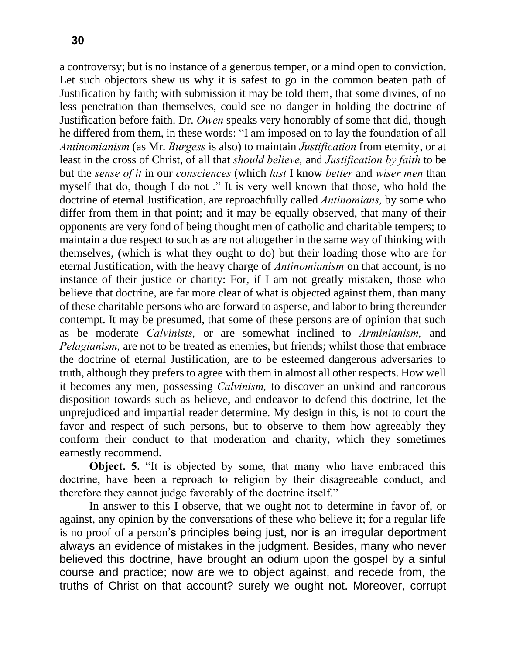a controversy; but is no instance of a generous temper, or a mind open to conviction. Let such objectors shew us why it is safest to go in the common beaten path of Justification by faith; with submission it may be told them, that some divines, of no less penetration than themselves, could see no danger in holding the doctrine of Justification before faith. Dr. *Owen* speaks very honorably of some that did, though he differed from them, in these words: "I am imposed on to lay the foundation of all *Antinomianism* (as Mr. *Burgess* is also) to maintain *Justification* from eternity, or at least in the cross of Christ, of all that *should believe,* and *Justification by faith* to be but the *sense of it* in our *consciences* (which *last* I know *better* and *wiser men* than myself that do, though I do not ." It is very well known that those, who hold the doctrine of eternal Justification, are reproachfully called *Antinomians,* by some who differ from them in that point; and it may be equally observed, that many of their opponents are very fond of being thought men of catholic and charitable tempers; to maintain a due respect to such as are not altogether in the same way of thinking with themselves, (which is what they ought to do) but their loading those who are for eternal Justification, with the heavy charge of *Antinomianism* on that account, is no instance of their justice or charity: For, if I am not greatly mistaken, those who believe that doctrine, are far more clear of what is objected against them, than many of these charitable persons who are forward to asperse, and labor to bring thereunder contempt. It may be presumed, that some of these persons are of opinion that such as be moderate *Calvinists,* or are somewhat inclined to *Arminianism,* and *Pelagianism,* are not to be treated as enemies, but friends; whilst those that embrace the doctrine of eternal Justification, are to be esteemed dangerous adversaries to truth, although they prefers to agree with them in almost all other respects. How well it becomes any men, possessing *Calvinism,* to discover an unkind and rancorous disposition towards such as believe, and endeavor to defend this doctrine, let the unprejudiced and impartial reader determine. My design in this, is not to court the favor and respect of such persons, but to observe to them how agreeably they conform their conduct to that moderation and charity, which they sometimes earnestly recommend.

**Object. 5.** "It is objected by some, that many who have embraced this doctrine, have been a reproach to religion by their disagreeable conduct, and therefore they cannot judge favorably of the doctrine itself."

In answer to this I observe, that we ought not to determine in favor of, or against, any opinion by the conversations of these who believe it; for a regular life is no proof of a person's principles being just, nor is an irregular deportment always an evidence of mistakes in the judgment. Besides, many who never believed this doctrine, have brought an odium upon the gospel by a sinful course and practice; now are we to object against, and recede from, the truths of Christ on that account? surely we ought not. Moreover, corrupt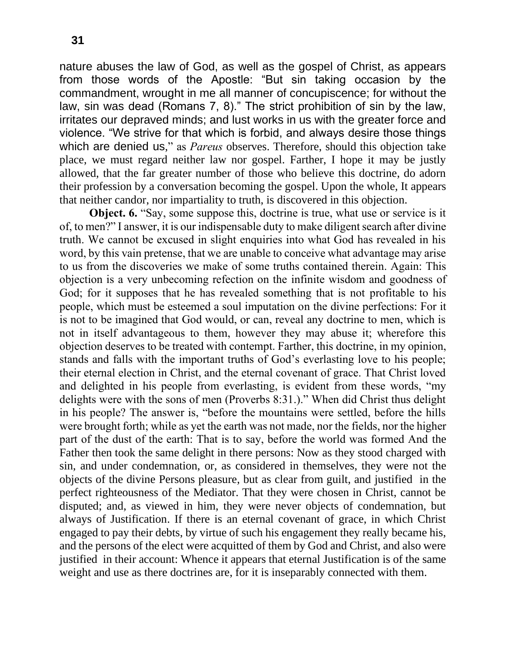nature abuses the law of God, as well as the gospel of Christ, as appears from those words of the Apostle: "But sin taking occasion by the commandment, wrought in me all manner of concupiscence; for without the law, sin was dead (Romans 7, 8)." The strict prohibition of sin by the law, irritates our depraved minds; and lust works in us with the greater force and violence. "We strive for that which is forbid, and always desire those things which are denied us," as *Pareus* observes. Therefore, should this objection take place, we must regard neither law nor gospel. Farther, I hope it may be justly allowed, that the far greater number of those who believe this doctrine, do adorn their profession by a conversation becoming the gospel. Upon the whole, It appears that neither candor, nor impartiality to truth, is discovered in this objection.

**Object. 6.** "Say, some suppose this, doctrine is true, what use or service is it of, to men?" I answer, it is our indispensable duty to make diligent search after divine truth. We cannot be excused in slight enquiries into what God has revealed in his word, by this vain pretense, that we are unable to conceive what advantage may arise to us from the discoveries we make of some truths contained therein. Again: This objection is a very unbecoming refection on the infinite wisdom and goodness of God; for it supposes that he has revealed something that is not profitable to his people, which must be esteemed a soul imputation on the divine perfections: For it is not to be imagined that God would, or can, reveal any doctrine to men, which is not in itself advantageous to them, however they may abuse it; wherefore this objection deserves to be treated with contempt. Farther, this doctrine, in my opinion, stands and falls with the important truths of God's everlasting love to his people; their eternal election in Christ, and the eternal covenant of grace. That Christ loved and delighted in his people from everlasting, is evident from these words, "my delights were with the sons of men (Proverbs 8:31.)." When did Christ thus delight in his people? The answer is, "before the mountains were settled, before the hills were brought forth; while as yet the earth was not made, nor the fields, nor the higher part of the dust of the earth: That is to say, before the world was formed And the Father then took the same delight in there persons: Now as they stood charged with sin, and under condemnation, or, as considered in themselves, they were not the objects of the divine Persons pleasure, but as clear from guilt, and justified in the perfect righteousness of the Mediator. That they were chosen in Christ, cannot be disputed; and, as viewed in him, they were never objects of condemnation, but always of Justification. If there is an eternal covenant of grace, in which Christ engaged to pay their debts, by virtue of such his engagement they really became his, and the persons of the elect were acquitted of them by God and Christ, and also were justified in their account: Whence it appears that eternal Justification is of the same weight and use as there doctrines are, for it is inseparably connected with them.